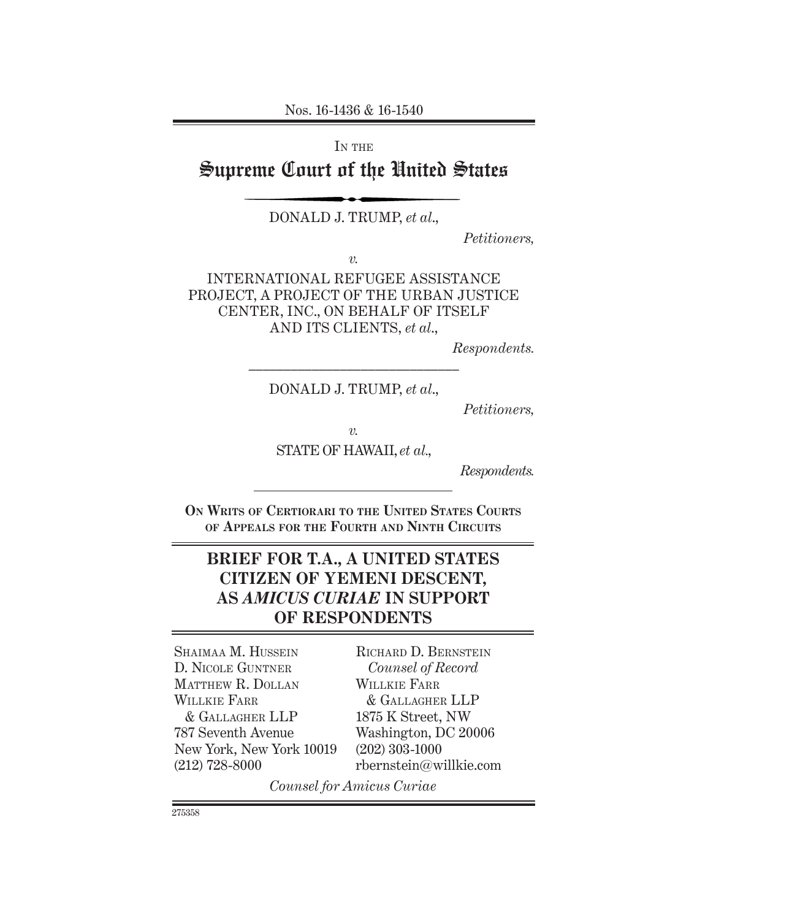Nos. 16-1436 & 16-1540

IN THE

# Supreme Court of the United States

DONALD J. TRUMP, *et al*.,

*Petitioners,*

*v.*

INTERNATIONAL REFUGEE ASSISTANCE PROJECT, A PROJECT OF THE URBAN JUSTICE CENTER, INC., ON BEHALF OF ITSELF AND ITS CLIENTS, *et al*.,

*Respondents.*

*––––––––––––––––––––––––––––––* DONALD J. TRUMP, *et al*.,

*Petitioners,*

*v.*

STATE OF HAWAII, *et al.*,

*Respondents.*

**On Writs of Certiorari to the United States Courts of Appeals for the Fourth and Ninth Circuits**

# **BRIEF FOR T.A., A UNITED STATES CITIZEN OF YEMENI DESCENT, AS** *AMICUS CURIAE* **IN SUPPORT OF RESPONDENTS**

SHAIMAA M. HUSSEIN D. Nicole Guntner Matthew R. Dollan WILLKIE FARR & Gallagher LLP 787 Seventh Avenue New York, New York 10019 (212) 728-8000

Richard D. Bernstein *Counsel of Record* Willkie Farr & Gallagher LLP 1875 K Street, NW Washington, DC 20006 (202) 303-1000 rbernstein@willkie.com

*Counsel for Amicus Curiae*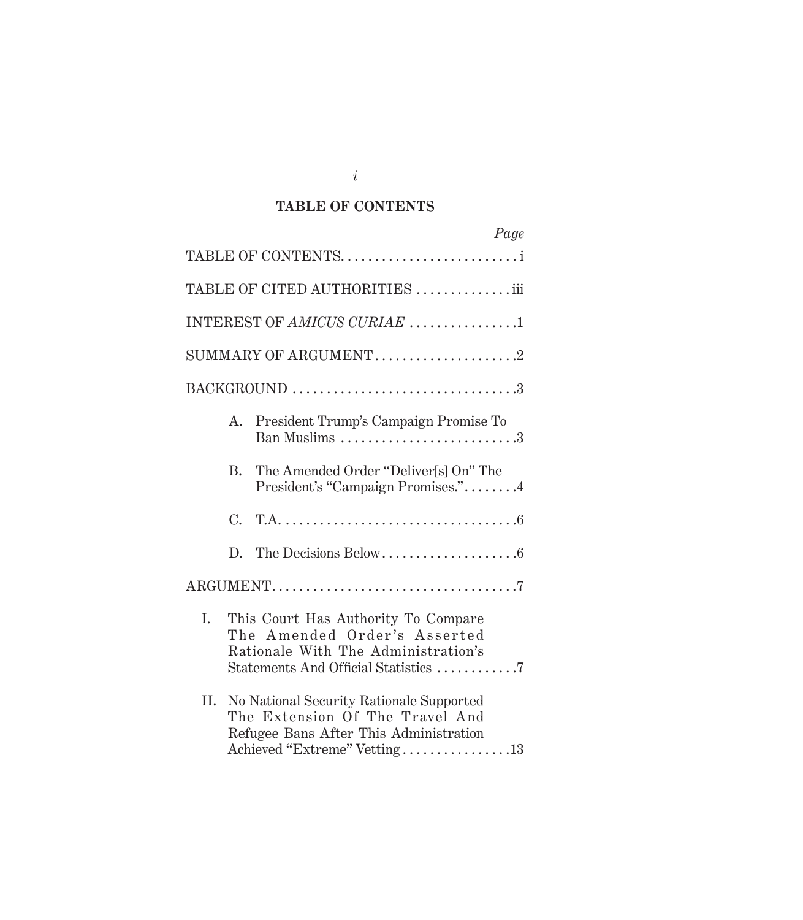# **TABLE OF CONTENTS**

| Page                                                                                                                                                         |
|--------------------------------------------------------------------------------------------------------------------------------------------------------------|
| TABLE OF CONTENTS                                                                                                                                            |
| TABLE OF CITED AUTHORITIES  iii                                                                                                                              |
| INTEREST OF AMICUS CURIAE 1                                                                                                                                  |
|                                                                                                                                                              |
|                                                                                                                                                              |
| President Trump's Campaign Promise To<br>А.<br>Ban Muslims 3                                                                                                 |
| The Amended Order "Deliver[s] On" The<br>B.<br>President's "Campaign Promises."4                                                                             |
| $C_{\cdot}$                                                                                                                                                  |
| D.                                                                                                                                                           |
|                                                                                                                                                              |
| I.<br>This Court Has Authority To Compare<br>The Amended Order's Asserted<br>Rationale With The Administration's<br>Statements And Official Statistics 7     |
| II.<br>No National Security Rationale Supported<br>The Extension Of The Travel And<br>Refugee Bans After This Administration<br>Achieved "Extreme" Vetting13 |

*i*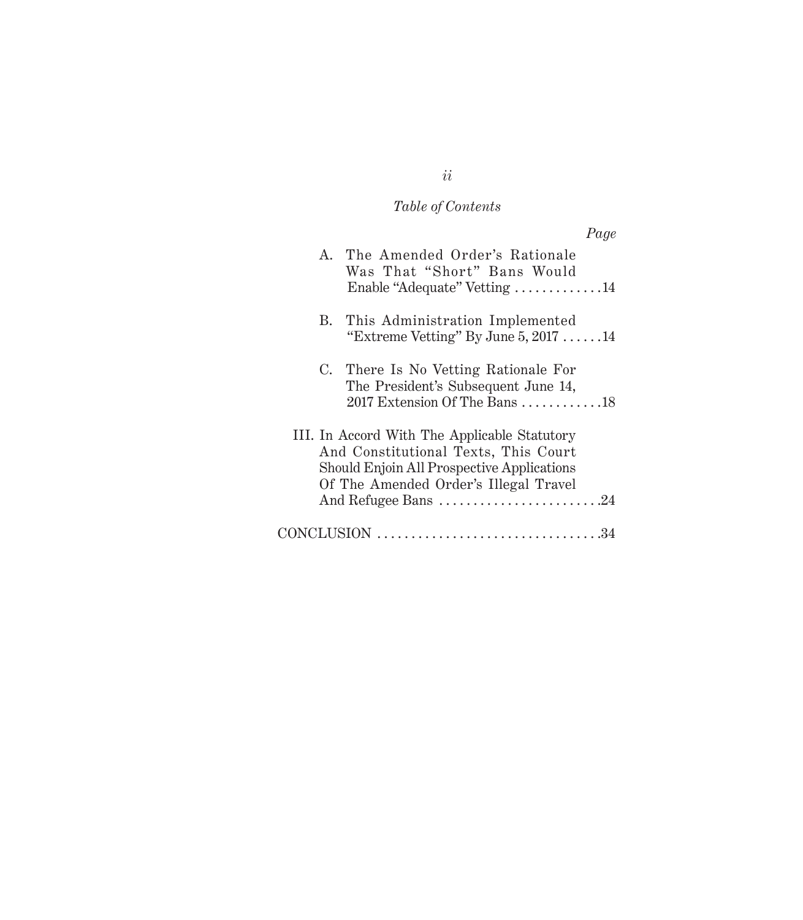# *Table of Contents*

|  | Page                                                                                                                                                                                               |
|--|----------------------------------------------------------------------------------------------------------------------------------------------------------------------------------------------------|
|  | A. The Amended Order's Rationale<br>Was That "Short" Bans Would                                                                                                                                    |
|  | Enable "Adequate" Vetting 14                                                                                                                                                                       |
|  | B. This Administration Implemented<br>"Extreme Vetting" By June $5, 2017 \ldots$ 14                                                                                                                |
|  | C. There Is No Vetting Rationale For<br>The President's Subsequent June 14,<br>2017 Extension Of The Bans $\ldots \ldots \ldots \ldots$ 18                                                         |
|  | III. In Accord With The Applicable Statutory<br>And Constitutional Texts, This Court<br>Should Enjoin All Prospective Applications<br>Of The Amended Order's Illegal Travel<br>And Refugee Bans 24 |
|  | $CONCLUSION \dots \dots \dots \dots \dots \dots \dots \dots \dots \dots \dots \dots \34$                                                                                                           |

*ii*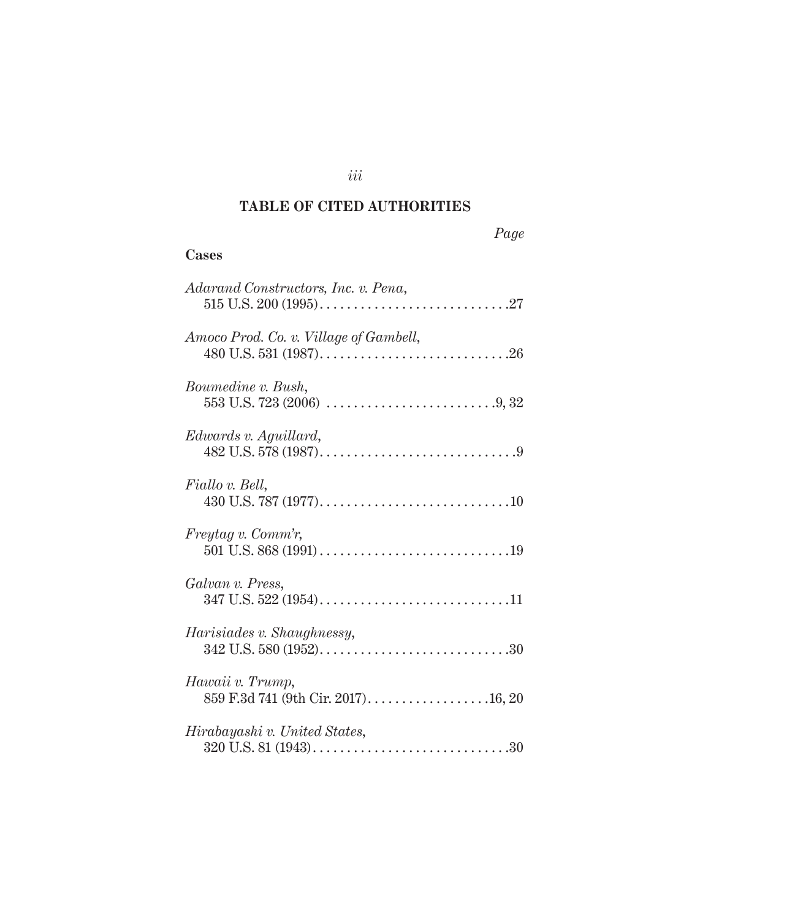#### **TABLE OF CITED AUTHORITIES**

**Cases**

# *Adarand Constructors, Inc. v. Pena*, 515 U.S. 200 (1995) . 27 *Amoco Prod. Co. v. Village of Gambell*, 480 U.S. 531 (1987) . 26 *Boumedine v. Bush*, 553 U.S. 723 (2006) . 9, 32 *Edwards v. Aguillard*, 482 U.S. 578 (1987) . 9 *Fiallo v. Bell*, 430 U.S. 787 (1977) . 10 *Freytag v. Comm'r*, 501 U.S. 868 (1991) . 19 *Galvan v. Press*, 347 U.S. 522 (1954) . 11 *Harisiades v. Shaughnessy*, 342 U.S. 580 (1952) . 30 *Hawaii v. Trump*, 859 F.3d 741 (9th Cir. 2017) . 16, 20 *Hirabayashi v. United States*, 320 U.S. 81 (1943) . 30

*iii*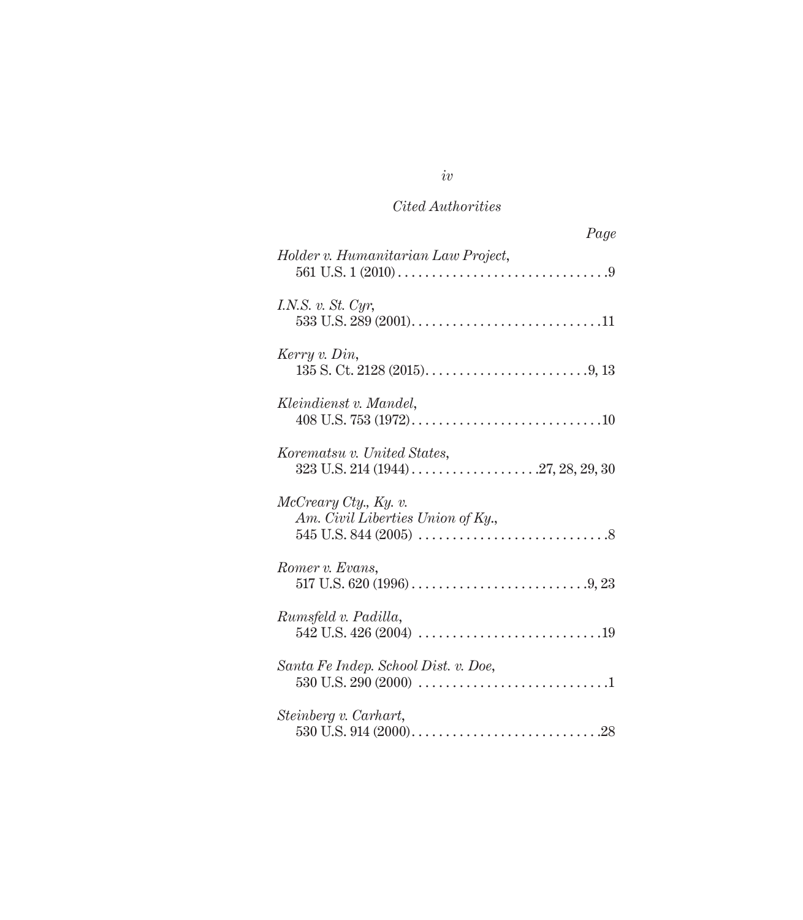| Page                                                       |
|------------------------------------------------------------|
| Holder v. Humanitarian Law Project,                        |
| I.N.S. v. St. Cyr,                                         |
| Kerry v. Din,                                              |
| Kleindienst v. Mandel,                                     |
| Korematsu v. United States,                                |
| McCreary City, Ky. v.<br>Am. Civil Liberties Union of Ky., |
| Romer v. Evans,                                            |
| Rumsfeld v. Padilla,                                       |
| Santa Fe Indep. School Dist. v. Doe,                       |
| Steinberg v. Carhart,                                      |

*iv*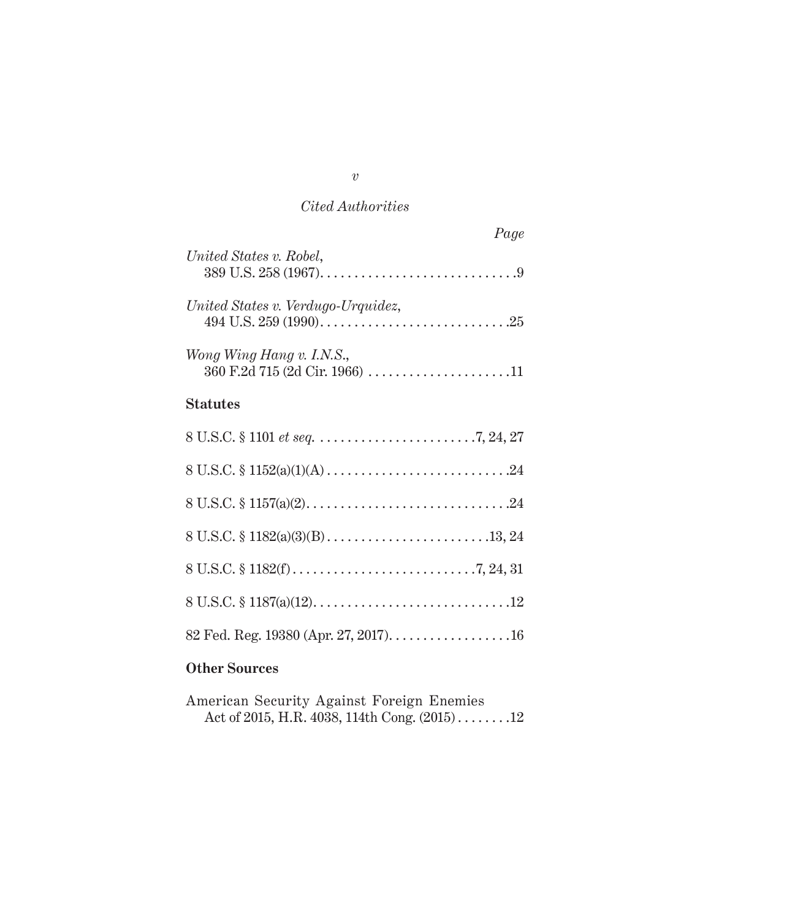|                                                             | Page |
|-------------------------------------------------------------|------|
| United States v. Robel,                                     |      |
| United States v. Verdugo-Urquidez,                          |      |
| Wong Wing Hang v. I.N.S.,<br>360 F.2d 715 (2d Cir. 1966) 11 |      |
| <b>Statutes</b>                                             |      |
|                                                             |      |
| 8 U.S.C. $\frac{152(a)(1)(A) \dots (16a)(1)}{24}$           |      |
|                                                             |      |
|                                                             |      |
|                                                             |      |
|                                                             |      |
|                                                             |      |

# **Other Sources**

| American Security Against Foreign Enemies       |  |  |
|-------------------------------------------------|--|--|
| Act of 2015, H.R. 4038, 114th Cong. $(2015)$ 12 |  |  |

*v*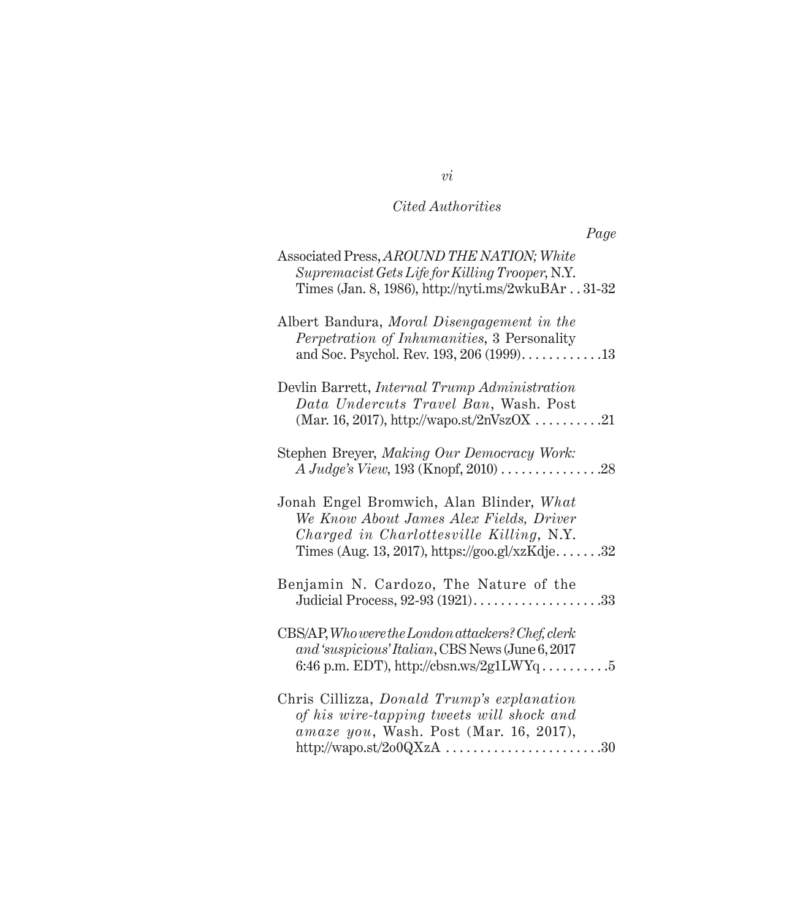| Associated Press, AROUND THE NATION; White<br>Supremacist Gets Life for Killing Trooper, N.Y.<br>Times (Jan. 8, 1986), http://nyti.ms/2wkuBAr31-32                                |
|-----------------------------------------------------------------------------------------------------------------------------------------------------------------------------------|
| Albert Bandura, Moral Disengagement in the<br>Perpetration of Inhumanities, 3 Personality<br>and Soc. Psychol. Rev. 193, 206 (1999)13                                             |
| Devlin Barrett, Internal Trump Administration<br>Data Undercuts Travel Ban, Wash. Post<br>(Mar. 16, 2017), http://wapo.st/2nVszOX 21                                              |
| Stephen Breyer, Making Our Democracy Work:<br>$A\;Judge's\;View, 193\;(\text{Knopf}, 2010)\;.\ldots\ldots\ldots\ldots\; .28$                                                      |
| Jonah Engel Bromwich, Alan Blinder, What<br>We Know About James Alex Fields, Driver<br>Charged in Charlottesville Killing, N.Y.<br>Times (Aug. 13, 2017), https://goo.gl/xzKdje32 |
| Benjamin N. Cardozo, The Nature of the<br>Judicial Process, 92-93 (1921)33                                                                                                        |
| $CBS/AP$ , Who were the London attackers? Chef, clerk<br>and 'suspicious' Italian, CBS News (June 6, 2017<br>6:46 p.m. EDT), http://cbsn.ws/2g1LWYq5                              |
| Chris Cillizza, Donald Trump's explanation<br>of his wire-tapping tweets will shock and<br>amaze you, Wash. Post (Mar. 16, 2017),<br>http://wapo.st/2o0QXzA 30                    |

*vi*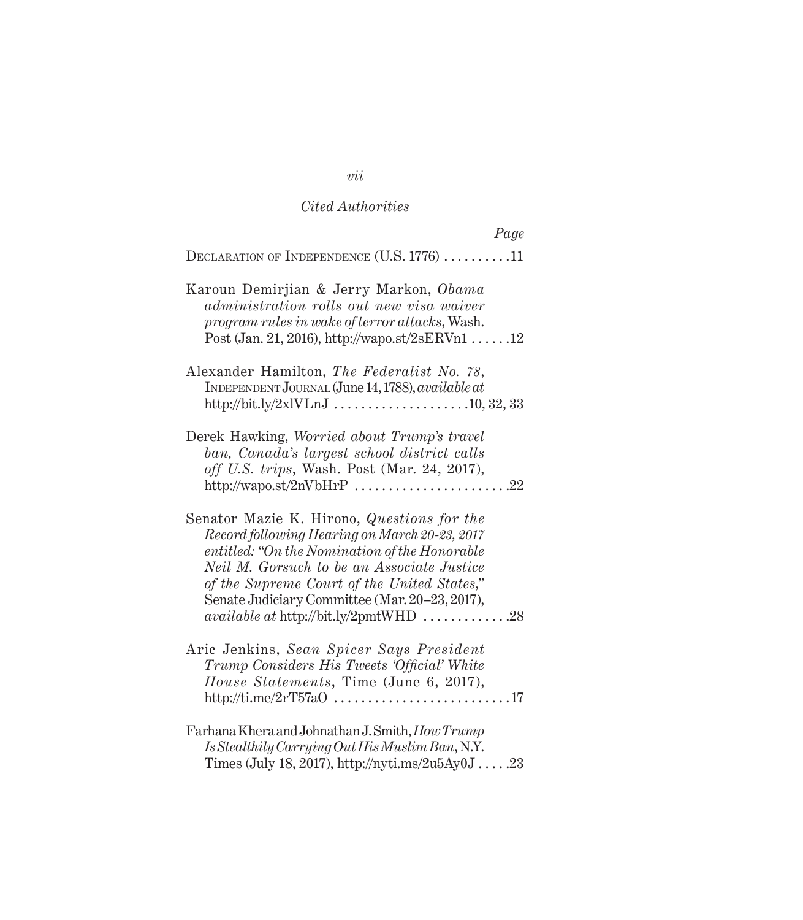| Page                                                                                                                                                                                                                                                                                                                                        |
|---------------------------------------------------------------------------------------------------------------------------------------------------------------------------------------------------------------------------------------------------------------------------------------------------------------------------------------------|
| DECLARATION OF INDEPENDENCE (U.S. 1776) 11                                                                                                                                                                                                                                                                                                  |
| Karoun Demirjian & Jerry Markon, Obama<br>administration rolls out new visa waiver<br>program rules in wake of terror attacks, Wash.<br>Post (Jan. 21, 2016), http://wapo.st/2sERVn1 $\dots$ .12                                                                                                                                            |
| Alexander Hamilton, The Federalist No. 78,<br>INDEPENDENT JOURNAL (June 14, 1788), available at                                                                                                                                                                                                                                             |
| Derek Hawking, Worried about Trump's travel<br>ban, Canada's largest school district calls<br>off U.S. trips, Wash. Post (Mar. 24, 2017),<br>http://wapo.st/2nVbHrP $\ldots$ 22                                                                                                                                                             |
| Senator Mazie K. Hirono, Questions for the<br>Record following Hearing on March 20-23, 2017<br>entitled: "On the Nomination of the Honorable<br>Neil M. Gorsuch to be an Associate Justice<br>of the Supreme Court of the United States,"<br>Senate Judiciary Committee (Mar. 20–23, 2017),<br><i>available at http://bit.ly/2pmtWHD</i> 28 |
| Aric Jenkins, Sean Spicer Says President<br>Trump Considers His Tweets 'Official' White<br>House Statements, Time (June 6, 2017),<br>http://ti.me/2rT57a0 17                                                                                                                                                                                |
| Farhana Khera and Johnathan J. Smith, How Trump<br>Is Stealthily Carrying Out His Muslim Ban, N.Y.<br>Times (July 18, 2017), http://nyti.ms/2u5Ay0J23                                                                                                                                                                                       |

# *vii*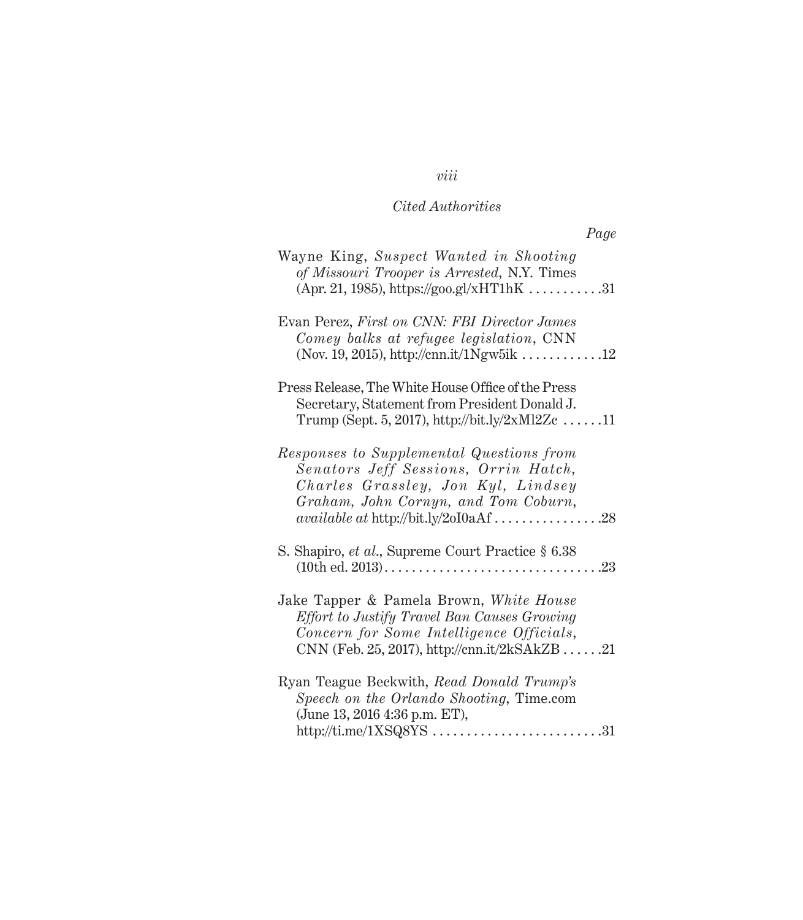| ,,,<br>,<br>$\boldsymbol{\nu}$ |
|--------------------------------|
|--------------------------------|

| Wayne King, Suspect Wanted in Shooting<br>of Missouri Trooper is Arrested, N.Y. Times<br>$(Apr. 21, 1985)$ , https://goo.gl/xHT1hK 31                                                                              |
|--------------------------------------------------------------------------------------------------------------------------------------------------------------------------------------------------------------------|
| Evan Perez, First on CNN: FBI Director James<br>Comey balks at refugee legislation, CNN<br>(Nov. 19, 2015), http://cnn.it/1Ngw5ik 12                                                                               |
| Press Release, The White House Office of the Press<br>Secretary, Statement from President Donald J.<br>Trump (Sept. 5, 2017), http://bit.ly/2xMl2Zc 11                                                             |
| Responses to Supplemental Questions from<br>Senators Jeff Sessions, Orrin Hatch,<br>Charles Grassley, Jon Kyl, Lindsey<br>Graham, John Cornyn, and Tom Coburn,<br>$available at \frac{http://bit.ly/20I0aAf}{}.28$ |
| S. Shapiro, et al., Supreme Court Practice § 6.38                                                                                                                                                                  |
| Jake Tapper & Pamela Brown, White House<br>Effort to Justify Travel Ban Causes Growing<br>Concern for Some Intelligence Officials,<br>CNN (Feb. 25, 2017), http://cnn.it/2kSAkZB 21                                |
| Ryan Teague Beckwith, Read Donald Trump's<br>Speech on the Orlando Shooting, Time.com<br>(June 13, 2016 4:36 p.m. ET),                                                                                             |

# *viii*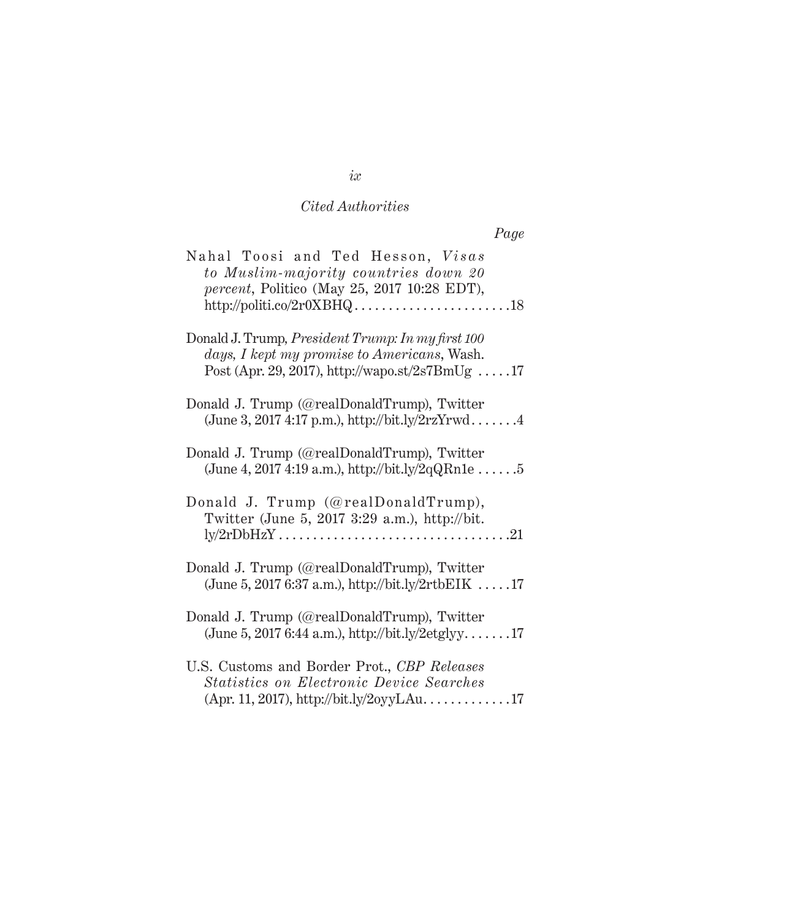| Nahal Toosi and Ted Hesson, Visas                        |  |
|----------------------------------------------------------|--|
| to Muslim-majority countries down 20                     |  |
| <i>percent</i> , Politico (May 25, 2017 10:28 EDT),      |  |
|                                                          |  |
|                                                          |  |
| Donald J. Trump, <i>President Trump: In my first 100</i> |  |
| days, I kept my promise to Americans, Wash.              |  |
| Post (Apr. 29, 2017), http://wapo.st/2s7BmUg 17          |  |

*Page*

| days, I kept my promise to Americans, Wash.<br>Post (Apr. 29, 2017), http://wapo.st/2s7BmUg 17                                                                 |
|----------------------------------------------------------------------------------------------------------------------------------------------------------------|
| Donald J. Trump (@realDonaldTrump), Twitter<br>(June 3, 2017 4:17 p.m.), http://bit.ly/2rzYrwd4                                                                |
| Donald J. Trump (@realDonaldTrump), Twitter<br>(June 4, 2017 4:19 a.m.), http://bit.ly/2qQRn1e 5                                                               |
| Donald J. Trump (@realDonaldTrump),<br>Twitter (June 5, 2017 3:29 a.m.), http://bit.                                                                           |
| Donald J. Trump (@realDonaldTrump), Twitter<br>(June 5, 2017 6:37 a.m.), http://bit.ly/2rtbEIK 17                                                              |
| Donald J. Trump (@realDonaldTrump), Twitter<br>(June 5, 2017 6:44 a.m.), http://bit.ly/2etglyy17                                                               |
| U.S. Customs and Border Prot., CBP Releases<br><b>Statistics on Electronic Device Searches</b><br>$(\text{Apr. } 11, 2017), \text{http://bit.ly/2oyyLAu. 17})$ |

*ix*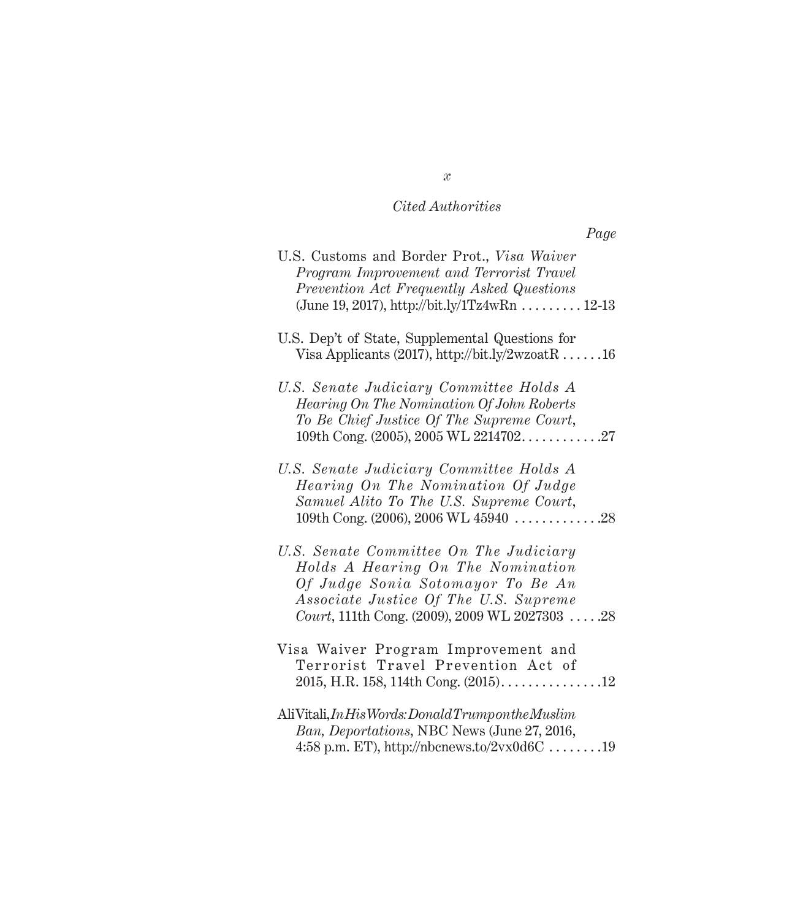| U.S. Customs and Border Prot., Visa Waiver<br>Program Improvement and Terrorist Travel<br>Prevention Act Frequently Asked Questions<br>(June 19, 2017), http://bit.ly/1Tz4wRn  12-13                         |
|--------------------------------------------------------------------------------------------------------------------------------------------------------------------------------------------------------------|
| U.S. Dep't of State, Supplemental Questions for<br>Visa Applicants (2017), http://bit.ly/2wzoatR 16                                                                                                          |
| U.S. Senate Judiciary Committee Holds A<br>Hearing On The Nomination Of John Roberts<br>To Be Chief Justice Of The Supreme Court,                                                                            |
| U.S. Senate Judiciary Committee Holds A<br>Hearing On The Nomination Of Judge<br>Samuel Alito To The U.S. Supreme Court,<br>109th Cong. (2006), 2006 WL 45940 $\dots \dots \dots \dots 28$                   |
| U.S. Senate Committee On The Judiciary<br>Holds A Hearing On The Nomination<br>Of Judge Sonia Sotomayor To Be An<br>Associate Justice Of The U.S. Supreme<br>Court, 111th Cong. (2009), 2009 WL 2027303  .28 |
| Visa Waiver Program Improvement and<br>Terrorist Travel Prevention Act of                                                                                                                                    |
| $\text{AliVitali}, \text{InHis Words:} \text{Donald Trumpoint} \textit{he Muslim}$<br>Ban, Deportations, NBC News (June 27, 2016,<br>4:58 p.m. ET), http://nbcnews.to/2vx0d6C 19                             |

*x*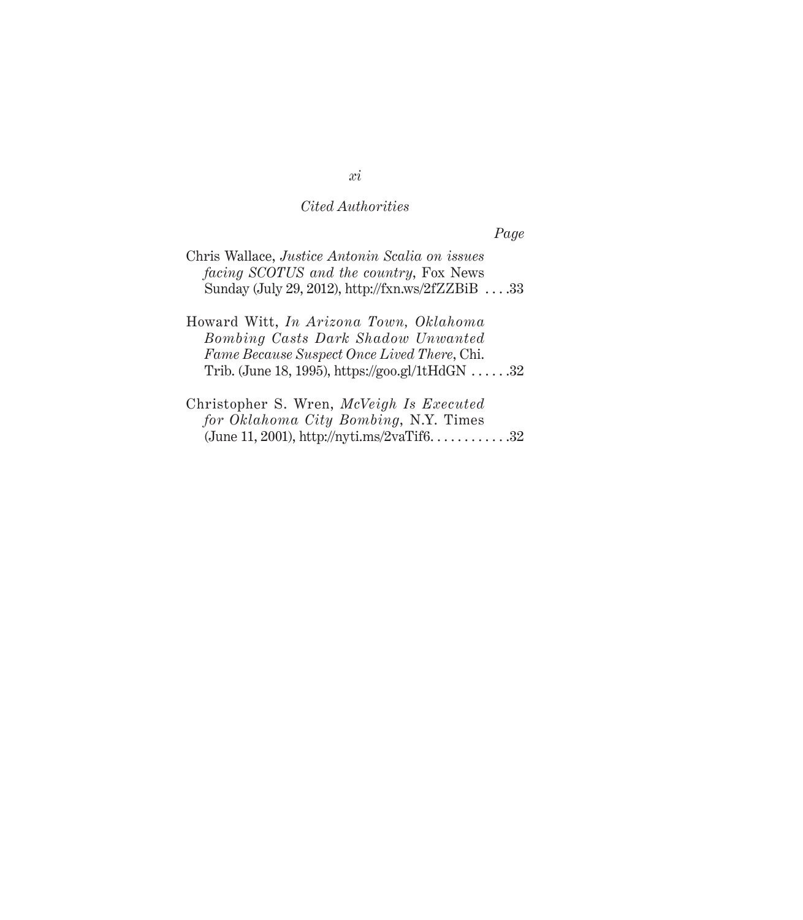*Page*

| Chris Wallace, Justice Antonin Scalia on issues            |  |
|------------------------------------------------------------|--|
| <i>facing SCOTUS and the country, Fox News</i>             |  |
| Sunday (July 29, 2012), http://fxn.ws/2fZZBiB $\ldots$ .33 |  |

Howard Witt, *In Arizona Town, Oklahoma Bombing Casts Dark Shadow Unwanted Fame Because Suspect Once Lived There*, Chi. Trib. (June 18, 1995), https://goo.gl/1tHdGN  $\dots$  .32

Christopher S. Wren, *McVeigh Is Executed for Oklahoma City Bombing*, N.Y. Times (June 11, 2001), http://nyti.ms/2vaTif6..............32

#### *xi*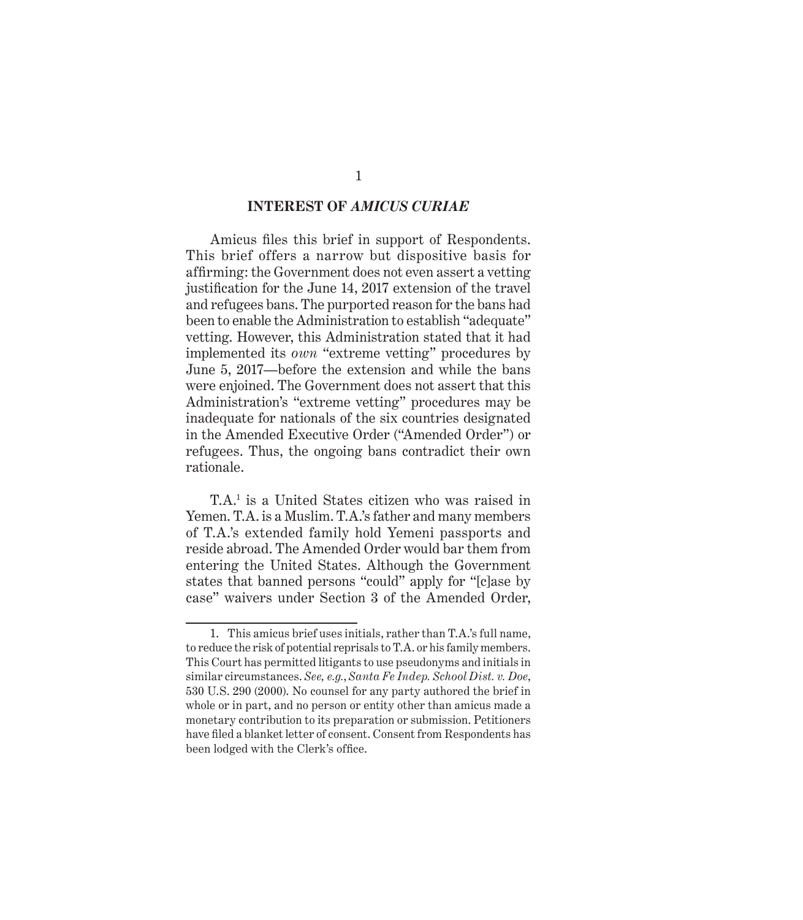#### **INTEREST OF** *AMICUS CURIAE*

Amicus files this brief in support of Respondents. This brief offers a narrow but dispositive basis for affirming: the Government does not even assert a vetting justification for the June 14, 2017 extension of the travel and refugees bans. The purported reason for the bans had been to enable the Administration to establish "adequate" vetting. However, this Administration stated that it had implemented its *own* "extreme vetting" procedures by June 5, 2017—before the extension and while the bans were enjoined. The Government does not assert that this Administration's "extreme vetting" procedures may be inadequate for nationals of the six countries designated in the Amended Executive Order ("Amended Order") or refugees. Thus, the ongoing bans contradict their own rationale.

T.A.1 is a United States citizen who was raised in Yemen. T.A. is a Muslim. T.A.'s father and many members of T.A.'s extended family hold Yemeni passports and reside abroad. The Amended Order would bar them from entering the United States. Although the Government states that banned persons "could" apply for "[c]ase by case" waivers under Section 3 of the Amended Order,

<sup>1.</sup> This amicus brief uses initials, rather than T.A.'s full name, to reduce the risk of potential reprisals to T.A. or his family members. This Court has permitted litigants to use pseudonyms and initials in similar circumstances. *See, e.g.*, *Santa Fe Indep. School Dist. v. Doe*, 530 U.S. 290 (2000). No counsel for any party authored the brief in whole or in part, and no person or entity other than amicus made a monetary contribution to its preparation or submission. Petitioners have filed a blanket letter of consent. Consent from Respondents has been lodged with the Clerk's office.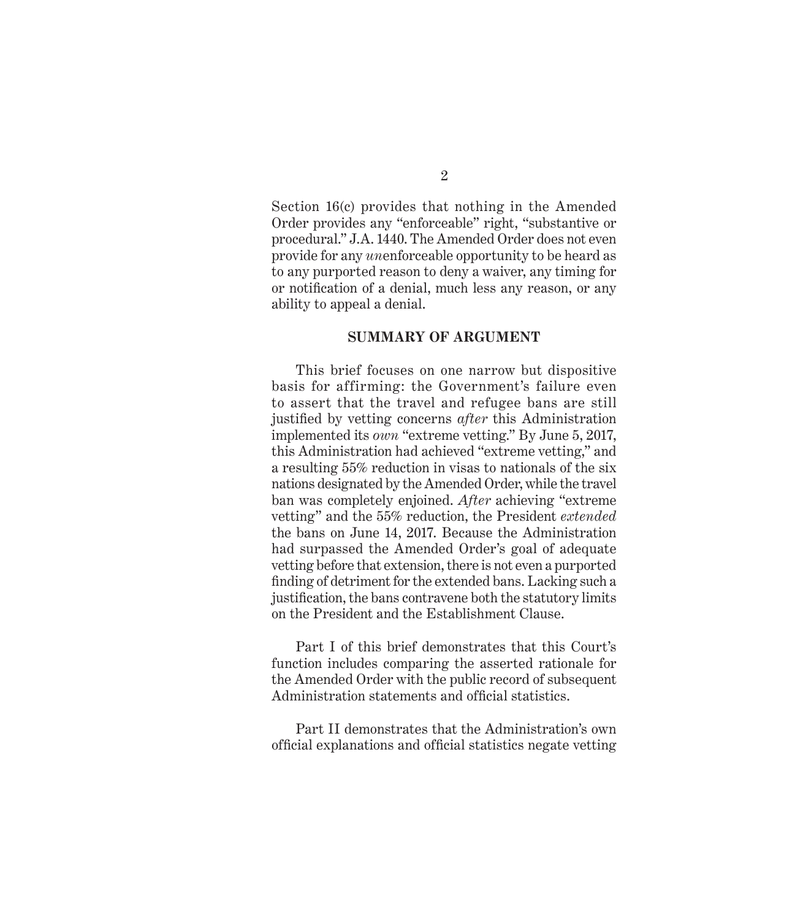Section 16(c) provides that nothing in the Amended Order provides any "enforceable" right, "substantive or procedural." J.A. 1440. The Amended Order does not even provide for any *un*enforceable opportunity to be heard as to any purported reason to deny a waiver, any timing for or notification of a denial, much less any reason, or any ability to appeal a denial.

#### **SUMMARY OF ARGUMENT**

This brief focuses on one narrow but dispositive basis for affirming: the Government's failure even to assert that the travel and refugee bans are still justified by vetting concerns *after* this Administration implemented its *own* "extreme vetting." By June 5, 2017, this Administration had achieved "extreme vetting," and a resulting 55% reduction in visas to nationals of the six nations designated by the Amended Order, while the travel ban was completely enjoined. *After* achieving "extreme vetting" and the 55% reduction, the President *extended*  the bans on June 14, 2017. Because the Administration had surpassed the Amended Order's goal of adequate vetting before that extension, there is not even a purported finding of detriment for the extended bans. Lacking such a justification, the bans contravene both the statutory limits on the President and the Establishment Clause.

Part I of this brief demonstrates that this Court's function includes comparing the asserted rationale for the Amended Order with the public record of subsequent Administration statements and official statistics.

Part II demonstrates that the Administration's own official explanations and official statistics negate vetting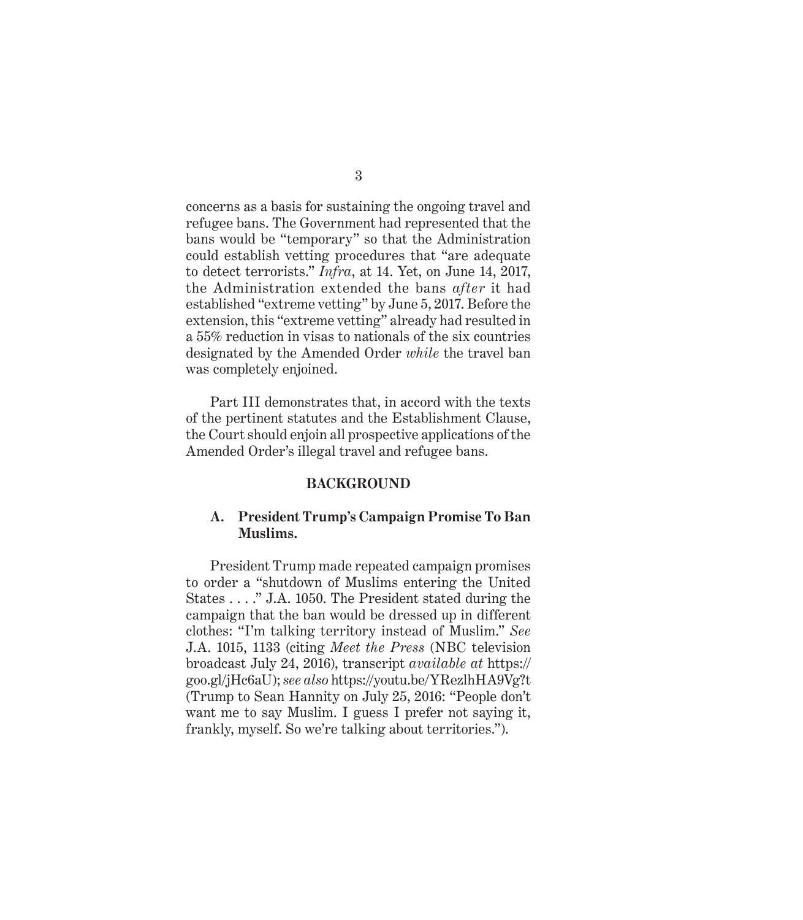concerns as a basis for sustaining the ongoing travel and refugee bans. The Government had represented that the bans would be "temporary" so that the Administration could establish vetting procedures that "are adequate to detect terrorists." *Infra*, at 14. Yet, on June 14, 2017, the Administration extended the bans *after* it had established "extreme vetting" by June 5, 2017. Before the extension, this "extreme vetting" already had resulted in a 55% reduction in visas to nationals of the six countries designated by the Amended Order *while* the travel ban was completely enjoined.

Part III demonstrates that, in accord with the texts of the pertinent statutes and the Establishment Clause, the Court should enjoin all prospective applications of the Amended Order's illegal travel and refugee bans.

#### **BACKGROUND**

### **A. President Trump's Campaign Promise To Ban Muslims.**

President Trump made repeated campaign promises to order a "shutdown of Muslims entering the United States . . . ." J.A. 1050. The President stated during the campaign that the ban would be dressed up in different clothes: "I'm talking territory instead of Muslim." *See* J.A. 1015, 1133 (citing *Meet the Press* (NBC television broadcast July 24, 2016), transcript *available at* https:// goo.gl/jHc6aU); *see also* https://youtu.be/YRezlhHA9Vg?t (Trump to Sean Hannity on July 25, 2016: "People don't want me to say Muslim. I guess I prefer not saying it, frankly, myself. So we're talking about territories.").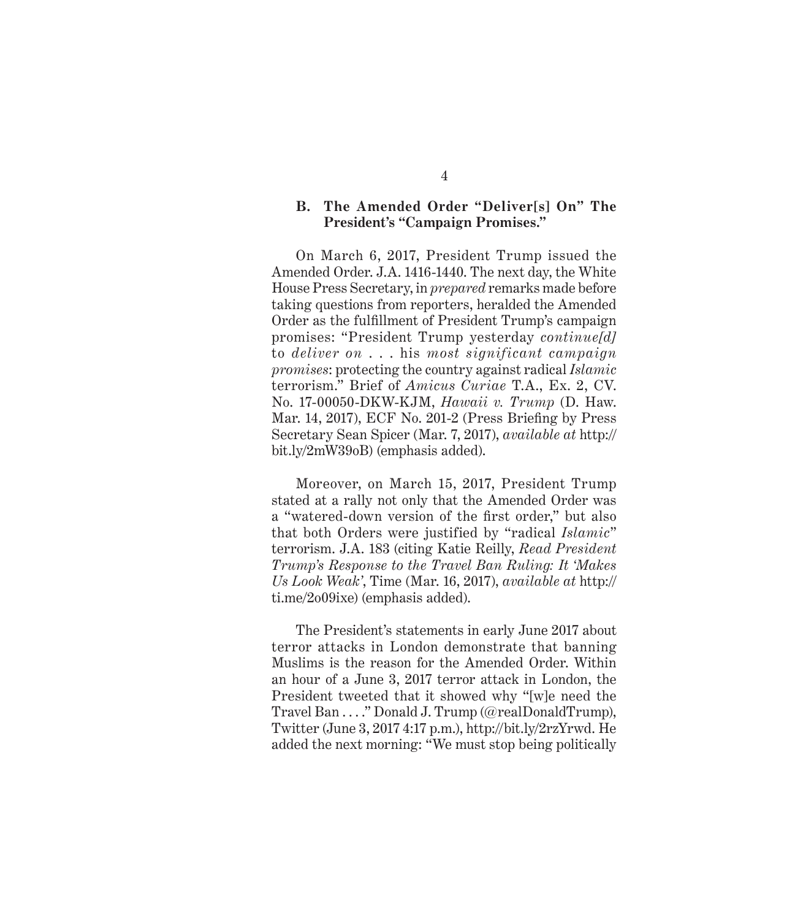## **B. The Amended Order "Deliver[s] On" The President's "Campaign Promises."**

On March 6, 2017, President Trump issued the Amended Order. J.A. 1416-1440. The next day, the White House Press Secretary, in *prepared* remarks made before taking questions from reporters, heralded the Amended Order as the fulfillment of President Trump's campaign promises: "President Trump yesterday *continue[d]* to *deliver on* . . . his *most significant campaign promises*: protecting the country against radical *Islamic* terrorism." Brief of *Amicus Curiae* T.A., Ex. 2, CV. No. 17-00050-DKW-KJM, *Hawaii v. Trump* (D. Haw. Mar. 14, 2017), ECF No. 201-2 (Press Briefing by Press Secretary Sean Spicer (Mar. 7, 2017), *available at* http:// bit.ly/2mW39oB) (emphasis added).

Moreover, on March 15, 2017, President Trump stated at a rally not only that the Amended Order was a "watered-down version of the first order," but also that both Orders were justified by "radical *Islamic*" terrorism. J.A. 183 (citing Katie Reilly, *Read President Trump's Response to the Travel Ban Ruling: It 'Makes Us Look Weak'*, Time (Mar. 16, 2017), *available at* http:// ti.me/2o09ixe) (emphasis added).

The President's statements in early June 2017 about terror attacks in London demonstrate that banning Muslims is the reason for the Amended Order. Within an hour of a June 3, 2017 terror attack in London, the President tweeted that it showed why "[w]e need the Travel Ban . . . ." Donald J. Trump (@realDonaldTrump), Twitter (June 3, 2017 4:17 p.m.), http://bit.ly/2rzYrwd. He added the next morning: "We must stop being politically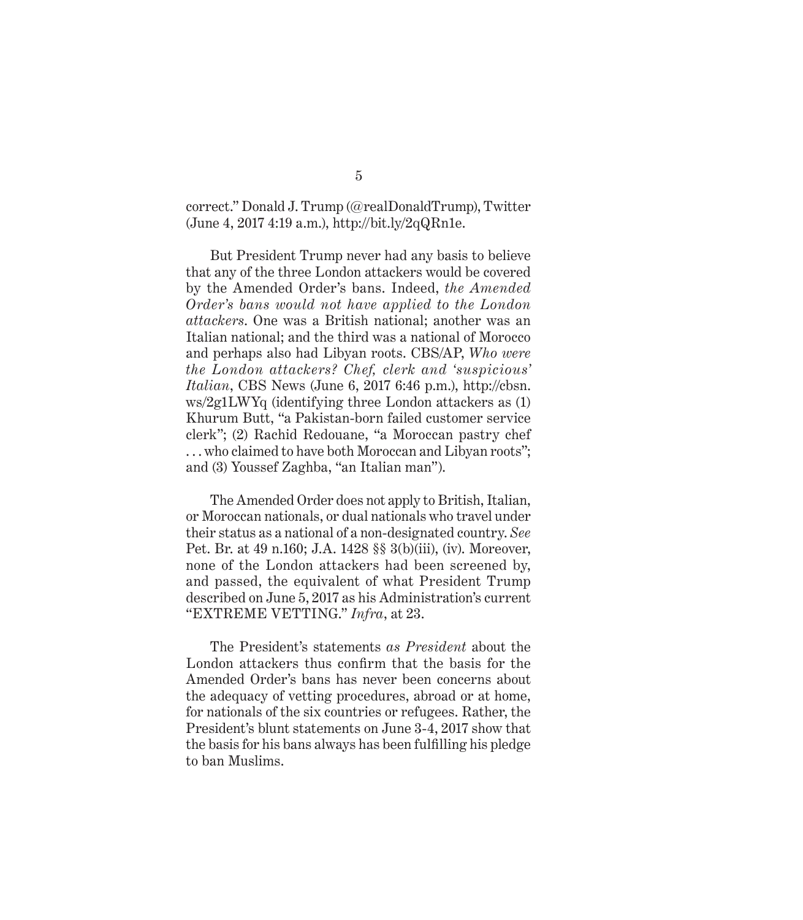correct." Donald J. Trump (@realDonaldTrump), Twitter (June 4, 2017 4:19 a.m.), http://bit.ly/2qQRn1e.

But President Trump never had any basis to believe that any of the three London attackers would be covered by the Amended Order's bans. Indeed, *the Amended Order's bans would not have applied to the London attackers*. One was a British national; another was an Italian national; and the third was a national of Morocco and perhaps also had Libyan roots. CBS/AP, *Who were the London attackers? Chef, clerk and 'suspicious' Italian*, CBS News (June 6, 2017 6:46 p.m.), http://cbsn. ws/2g1LWYq (identifying three London attackers as (1) Khurum Butt, "a Pakistan-born failed customer service clerk"; (2) Rachid Redouane, "a Moroccan pastry chef . . . who claimed to have both Moroccan and Libyan roots"; and (3) Youssef Zaghba, "an Italian man").

The Amended Order does not apply to British, Italian, or Moroccan nationals, or dual nationals who travel under their status as a national of a non-designated country. *See*  Pet. Br. at 49 n.160; J.A. 1428 §§ 3(b)(iii), (iv). Moreover, none of the London attackers had been screened by, and passed, the equivalent of what President Trump described on June 5, 2017 as his Administration's current "EXTREME VETTING." *Infra*, at 23.

The President's statements *as President* about the London attackers thus confirm that the basis for the Amended Order's bans has never been concerns about the adequacy of vetting procedures, abroad or at home, for nationals of the six countries or refugees. Rather, the President's blunt statements on June 3-4, 2017 show that the basis for his bans always has been fulfilling his pledge to ban Muslims.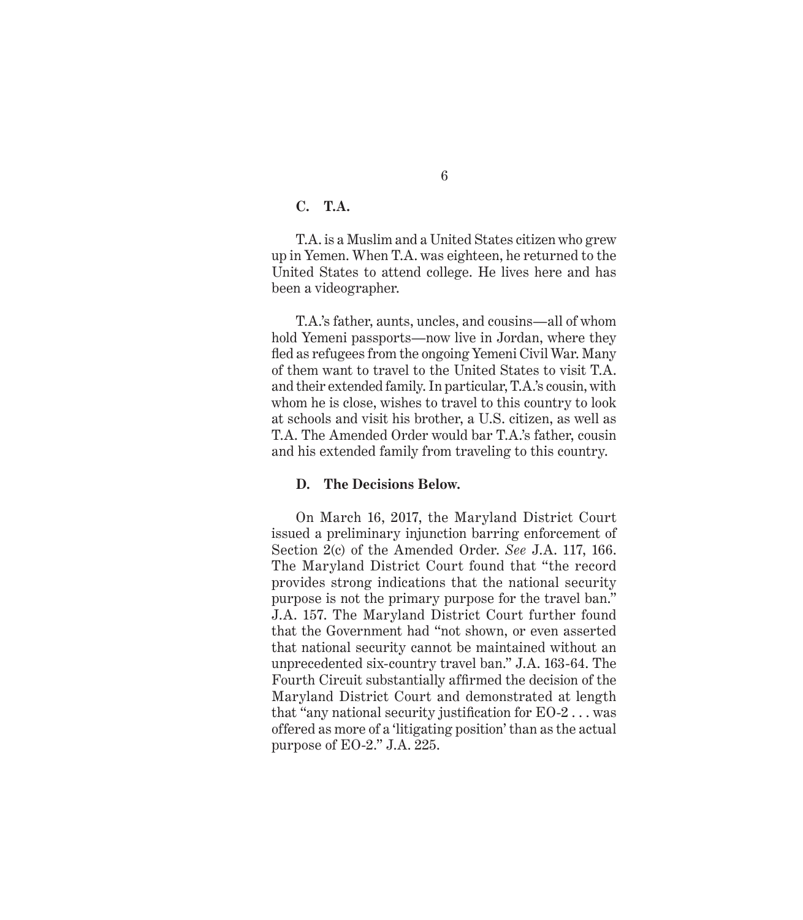## **C. T.A.**

T.A. is a Muslim and a United States citizen who grew up in Yemen. When T.A. was eighteen, he returned to the United States to attend college. He lives here and has been a videographer.

T.A.'s father, aunts, uncles, and cousins—all of whom hold Yemeni passports—now live in Jordan, where they fled as refugees from the ongoing Yemeni Civil War. Many of them want to travel to the United States to visit T.A. and their extended family. In particular, T.A.'s cousin, with whom he is close, wishes to travel to this country to look at schools and visit his brother, a U.S. citizen, as well as T.A. The Amended Order would bar T.A.'s father, cousin and his extended family from traveling to this country.

#### **D. The Decisions Below.**

On March 16, 2017, the Maryland District Court issued a preliminary injunction barring enforcement of Section 2(c) of the Amended Order. *See* J.A. 117, 166. The Maryland District Court found that "the record provides strong indications that the national security purpose is not the primary purpose for the travel ban." J.A. 157. The Maryland District Court further found that the Government had "not shown, or even asserted that national security cannot be maintained without an unprecedented six-country travel ban." J.A. 163-64. The Fourth Circuit substantially affirmed the decision of the Maryland District Court and demonstrated at length that "any national security justification for  $EO-2...$  was offered as more of a 'litigating position' than as the actual purpose of EO-2." J.A. 225.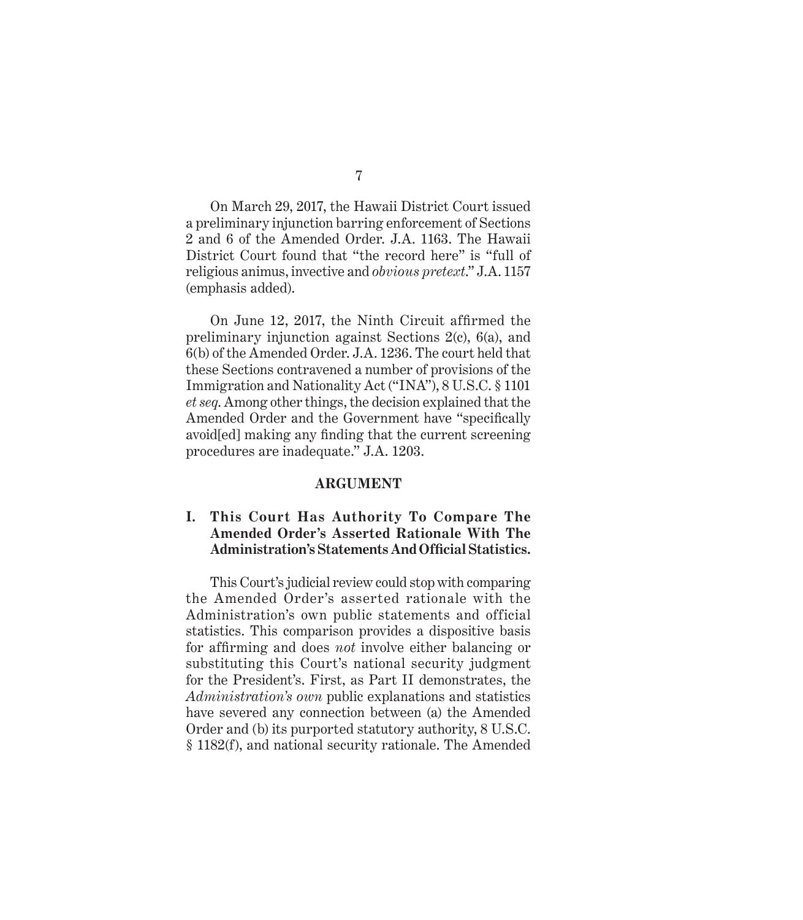7

On March 29, 2017, the Hawaii District Court issued a preliminary injunction barring enforcement of Sections 2 and 6 of the Amended Order. J.A. 1163. The Hawaii District Court found that "the record here" is "full of religious animus, invective and *obvious pretext*." J.A. 1157 (emphasis added).

On June 12, 2017, the Ninth Circuit affirmed the preliminary injunction against Sections 2(c), 6(a), and 6(b) of the Amended Order. J.A. 1236. The court held that these Sections contravened a number of provisions of the Immigration and Nationality Act ("INA"), 8 U.S.C. § 1101 *et seq*. Among other things, the decision explained that the Amended Order and the Government have "specifically avoid[ed] making any finding that the current screening procedures are inadequate." J.A. 1203.

#### **ARGUMENT**

## **I. This Court Has Authority To Compare The Amended Order's Asserted Rationale With The Administration's Statements And Official Statistics.**

This Court's judicial review could stop with comparing the Amended Order's asserted rationale with the Administration's own public statements and official statistics. This comparison provides a dispositive basis for affirming and does *not* involve either balancing or substituting this Court's national security judgment for the President's. First, as Part II demonstrates, the *Administration's own* public explanations and statistics have severed any connection between (a) the Amended Order and (b) its purported statutory authority, 8 U.S.C. § 1182(f), and national security rationale. The Amended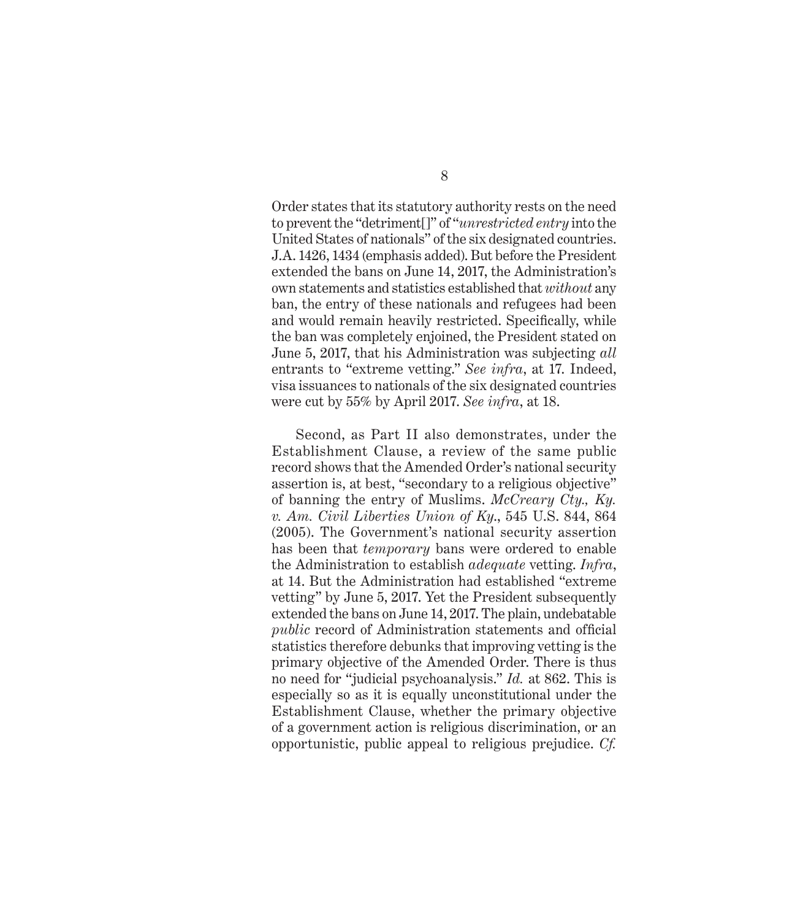Order states that its statutory authority rests on the need to prevent the "detriment[]" of "*unrestricted entry* into the United States of nationals" of the six designated countries. J.A. 1426, 1434 (emphasis added). But before the President extended the bans on June 14, 2017, the Administration's own statements and statistics established that *without* any ban, the entry of these nationals and refugees had been and would remain heavily restricted. Specifically, while the ban was completely enjoined, the President stated on June 5, 2017, that his Administration was subjecting *all*  entrants to "extreme vetting." *See infra*, at 17. Indeed, visa issuances to nationals of the six designated countries were cut by 55% by April 2017. *See infra*, at 18.

Second, as Part II also demonstrates, under the Establishment Clause, a review of the same public record shows that the Amended Order's national security assertion is, at best, "secondary to a religious objective" of banning the entry of Muslims. *McCreary Cty., Ky. v. Am. Civil Liberties Union of Ky*., 545 U.S. 844, 864 (2005). The Government's national security assertion has been that *temporary* bans were ordered to enable the Administration to establish *adequate* vetting. *Infra*, at 14. But the Administration had established "extreme vetting" by June 5, 2017. Yet the President subsequently extended the bans on June 14, 2017. The plain, undebatable *public* record of Administration statements and official statistics therefore debunks that improving vetting is the primary objective of the Amended Order. There is thus no need for "judicial psychoanalysis." *Id.* at 862. This is especially so as it is equally unconstitutional under the Establishment Clause, whether the primary objective of a government action is religious discrimination, or an opportunistic, public appeal to religious prejudice. *Cf.*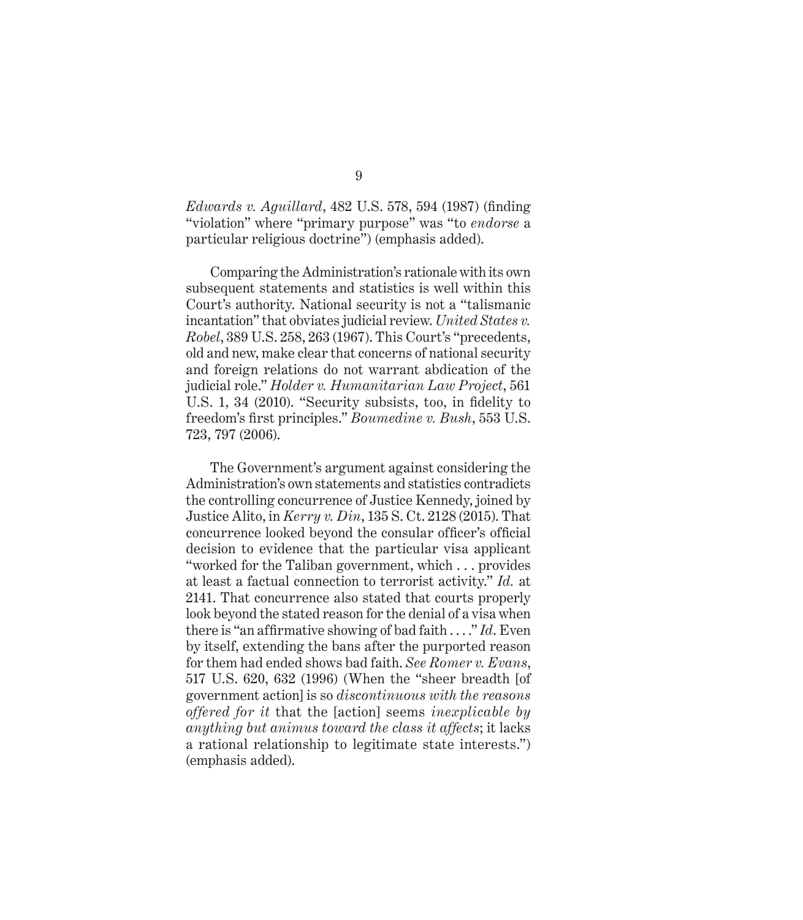*Edwards v. Aguillard*, 482 U.S. 578, 594 (1987) (finding "violation" where "primary purpose" was "to *endorse* a particular religious doctrine") (emphasis added).

Comparing the Administration's rationale with its own subsequent statements and statistics is well within this Court's authority. National security is not a "talismanic incantation" that obviates judicial review. *United States v. Robel*, 389 U.S. 258, 263 (1967). This Court's "precedents, old and new, make clear that concerns of national security and foreign relations do not warrant abdication of the judicial role." *Holder v. Humanitarian Law Project*, 561 U.S. 1, 34 (2010). "Security subsists, too, in fidelity to freedom's first principles." *Boumedine v. Bush*, 553 U.S. 723, 797 (2006).

The Government's argument against considering the Administration's own statements and statistics contradicts the controlling concurrence of Justice Kennedy, joined by Justice Alito, in *Kerry v. Din*, 135 S. Ct. 2128 (2015). That concurrence looked beyond the consular officer's official decision to evidence that the particular visa applicant "worked for the Taliban government, which . . . provides at least a factual connection to terrorist activity." *Id.* at 2141. That concurrence also stated that courts properly look beyond the stated reason for the denial of a visa when there is "an affirmative showing of bad faith . . . ." *Id*. Even by itself, extending the bans after the purported reason for them had ended shows bad faith. *See Romer v. Evans*, 517 U.S. 620, 632 (1996) (When the "sheer breadth [of government action] is so *discontinuous with the reasons offered for it* that the [action] seems *inexplicable by anything but animus toward the class it affects*; it lacks a rational relationship to legitimate state interests.") (emphasis added).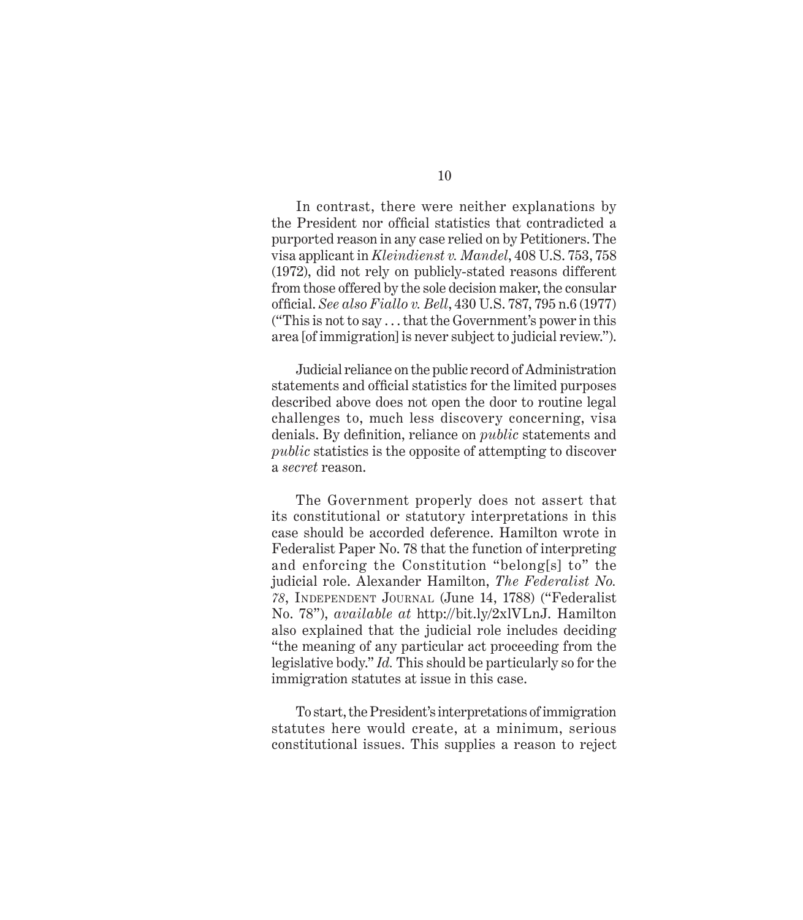In contrast, there were neither explanations by the President nor official statistics that contradicted a purported reason in any case relied on by Petitioners. The visa applicant in *Kleindienst v. Mandel*, 408 U.S. 753, 758 (1972), did not rely on publicly-stated reasons different from those offered by the sole decision maker, the consular official. *See also Fiallo v. Bell*, 430 U.S. 787, 795 n.6 (1977) ("This is not to say . . . that the Government's power in this area [of immigration] is never subject to judicial review.").

Judicial reliance on the public record of Administration statements and official statistics for the limited purposes described above does not open the door to routine legal challenges to, much less discovery concerning, visa denials. By definition, reliance on *public* statements and *public* statistics is the opposite of attempting to discover a *secret* reason.

The Government properly does not assert that its constitutional or statutory interpretations in this case should be accorded deference. Hamilton wrote in Federalist Paper No. 78 that the function of interpreting and enforcing the Constitution "belong[s] to" the judicial role. Alexander Hamilton, *The Federalist No. 78*, Independent Journal (June 14, 1788) ("Federalist No. 78"), *available at* http://bit.ly/2xlVLnJ. Hamilton also explained that the judicial role includes deciding "the meaning of any particular act proceeding from the legislative body." *Id.* This should be particularly so for the immigration statutes at issue in this case.

To start, the President's interpretations of immigration statutes here would create, at a minimum, serious constitutional issues. This supplies a reason to reject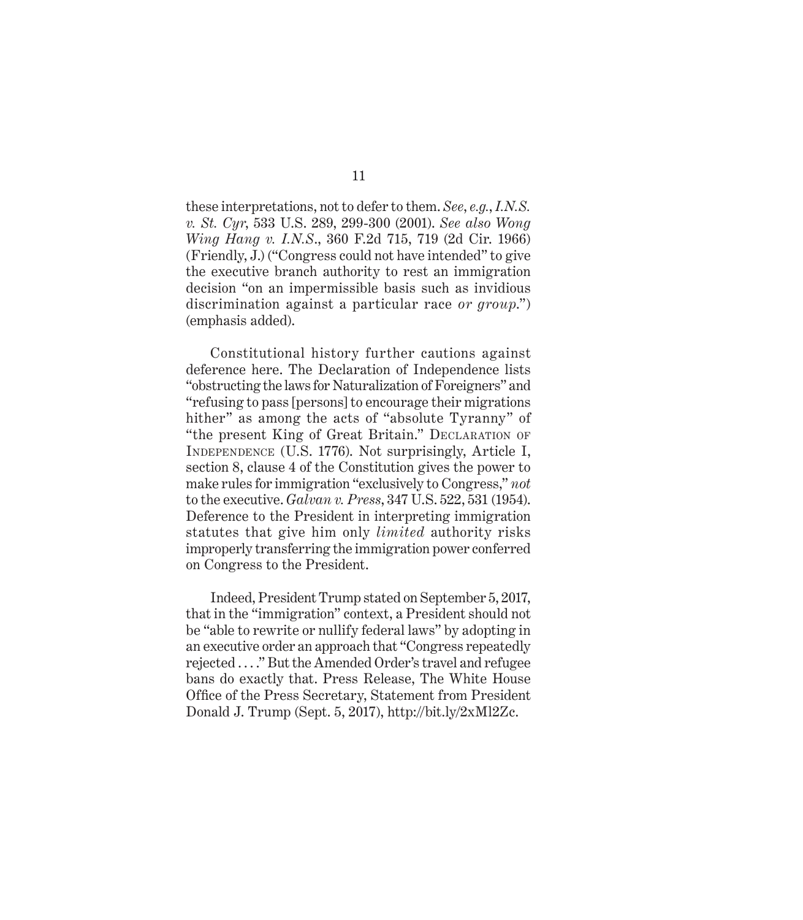these interpretations, not to defer to them. *See*, *e.g.*, *I.N.S. v. St. Cyr*, 533 U.S. 289, 299-300 (2001). *See also Wong Wing Hang v. I.N.S*., 360 F.2d 715, 719 (2d Cir. 1966) (Friendly, J.) ("Congress could not have intended" to give the executive branch authority to rest an immigration decision "on an impermissible basis such as invidious discrimination against a particular race *or group*.") (emphasis added).

Constitutional history further cautions against deference here. The Declaration of Independence lists "obstructing the laws for Naturalization of Foreigners" and "refusing to pass [persons] to encourage their migrations hither" as among the acts of "absolute Tyranny" of "the present King of Great Britain." DECLARATION OF Independence (U.S. 1776). Not surprisingly, Article I, section 8, clause 4 of the Constitution gives the power to make rules for immigration "exclusively to Congress," *not* to the executive. *Galvan v. Press*, 347 U.S. 522, 531 (1954). Deference to the President in interpreting immigration statutes that give him only *limited* authority risks improperly transferring the immigration power conferred on Congress to the President.

Indeed, President Trump stated on September 5, 2017, that in the "immigration" context, a President should not be "able to rewrite or nullify federal laws" by adopting in an executive order an approach that "Congress repeatedly rejected . . . ." But the Amended Order's travel and refugee bans do exactly that. Press Release, The White House Office of the Press Secretary, Statement from President Donald J. Trump (Sept. 5, 2017), http://bit.ly/2xMl2Zc.

### 11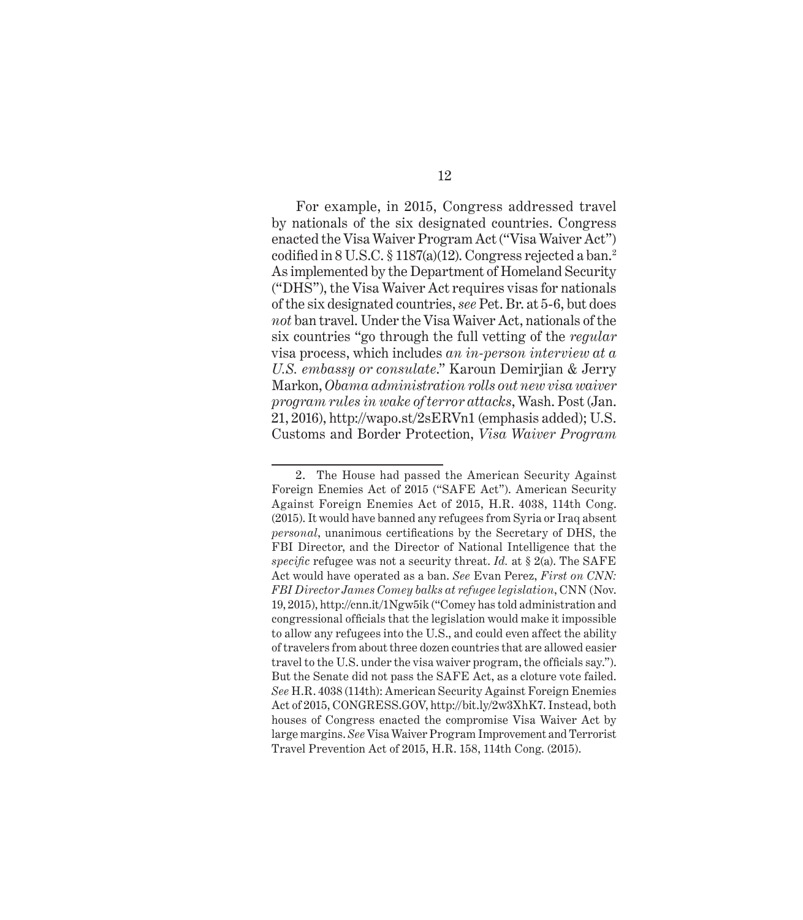For example, in 2015, Congress addressed travel by nationals of the six designated countries. Congress enacted the Visa Waiver Program Act ("Visa Waiver Act") codified in  $8$  U.S.C.  $\S 1187(a)(12)$ . Congress rejected a ban.<sup>2</sup> As implemented by the Department of Homeland Security ("DHS"), the Visa Waiver Act requires visas for nationals of the six designated countries, *see* Pet. Br. at 5-6, but does *not* ban travel. Under the Visa Waiver Act, nationals of the six countries "go through the full vetting of the *regular* visa process, which includes *an in-person interview at a U.S. embassy or consulate*." Karoun Demirjian & Jerry Markon, *Obama administration rolls out new visa waiver program rules in wake of terror attacks*, Wash. Post (Jan. 21, 2016), http://wapo.st/2sERVn1 (emphasis added); U.S. Customs and Border Protection, *Visa Waiver Program* 

<sup>2.</sup> The House had passed the American Security Against Foreign Enemies Act of 2015 ("SAFE Act"). American Security Against Foreign Enemies Act of 2015, H.R. 4038, 114th Cong. (2015). It would have banned any refugees from Syria or Iraq absent *personal*, unanimous certifications by the Secretary of DHS, the FBI Director, and the Director of National Intelligence that the *specific* refugee was not a security threat. *Id.* at § 2(a). The SAFE Act would have operated as a ban. *See* Evan Perez, *First on CNN: FBI Director James Comey balks at refugee legislation*, CNN (Nov. 19, 2015), http://cnn.it/1Ngw5ik ("Comey has told administration and congressional officials that the legislation would make it impossible to allow any refugees into the U.S., and could even affect the ability of travelers from about three dozen countries that are allowed easier travel to the U.S. under the visa waiver program, the officials say."). But the Senate did not pass the SAFE Act, as a cloture vote failed. *See* H.R. 4038 (114th): American Security Against Foreign Enemies Act of 2015, CONGRESS.GOV, http://bit.ly/2w3XhK7. Instead, both houses of Congress enacted the compromise Visa Waiver Act by large margins. *See* Visa Waiver Program Improvement and Terrorist Travel Prevention Act of 2015, H.R. 158, 114th Cong. (2015).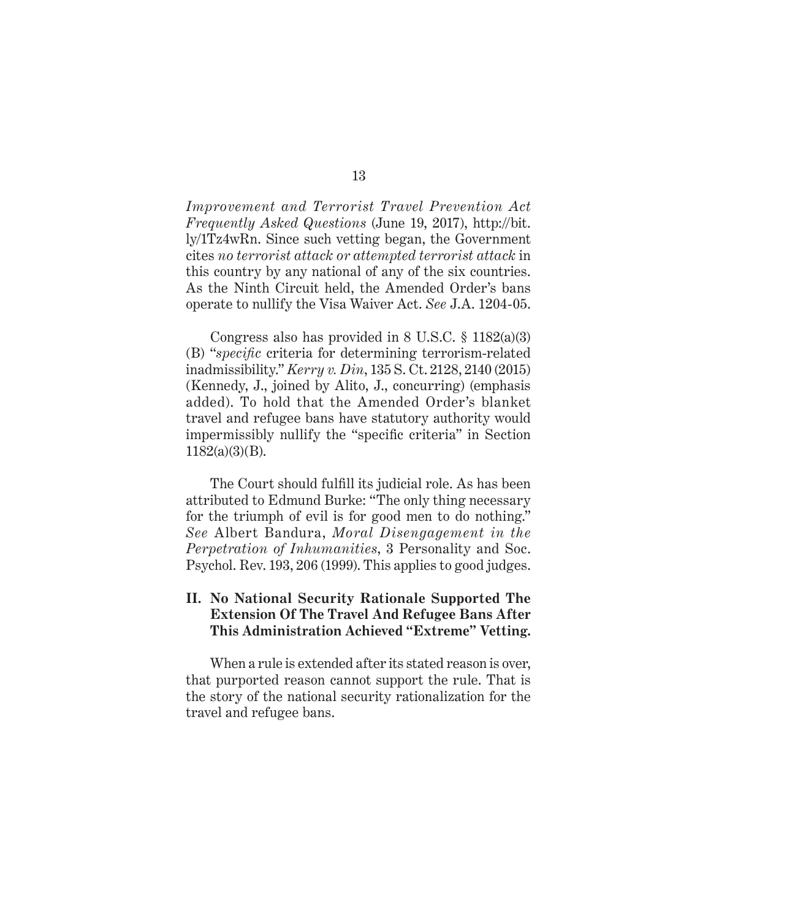*Improvement and Terrorist Travel Prevention Act Frequently Asked Questions* (June 19, 2017), http://bit. ly/1Tz4wRn. Since such vetting began, the Government cites *no terrorist attack or attempted terrorist attack* in this country by any national of any of the six countries. As the Ninth Circuit held, the Amended Order's bans operate to nullify the Visa Waiver Act. *See* J.A. 1204-05.

Congress also has provided in 8 U.S.C. § 1182(a)(3) (B) "*specific* criteria for determining terrorism-related inadmissibility." *Kerry v. Din*, 135 S. Ct. 2128, 2140 (2015) (Kennedy, J., joined by Alito, J., concurring) (emphasis added). To hold that the Amended Order's blanket travel and refugee bans have statutory authority would impermissibly nullify the "specific criteria" in Section 1182(a)(3)(B).

The Court should fulfill its judicial role. As has been attributed to Edmund Burke: "The only thing necessary for the triumph of evil is for good men to do nothing." *See* Albert Bandura, *Moral Disengagement in the Perpetration of Inhumanities*, 3 Personality and Soc. Psychol. Rev. 193, 206 (1999). This applies to good judges.

## **II. No National Security Rationale Supported The Extension Of The Travel And Refugee Bans After This Administration Achieved "Extreme" Vetting.**

When a rule is extended after its stated reason is over, that purported reason cannot support the rule. That is the story of the national security rationalization for the travel and refugee bans.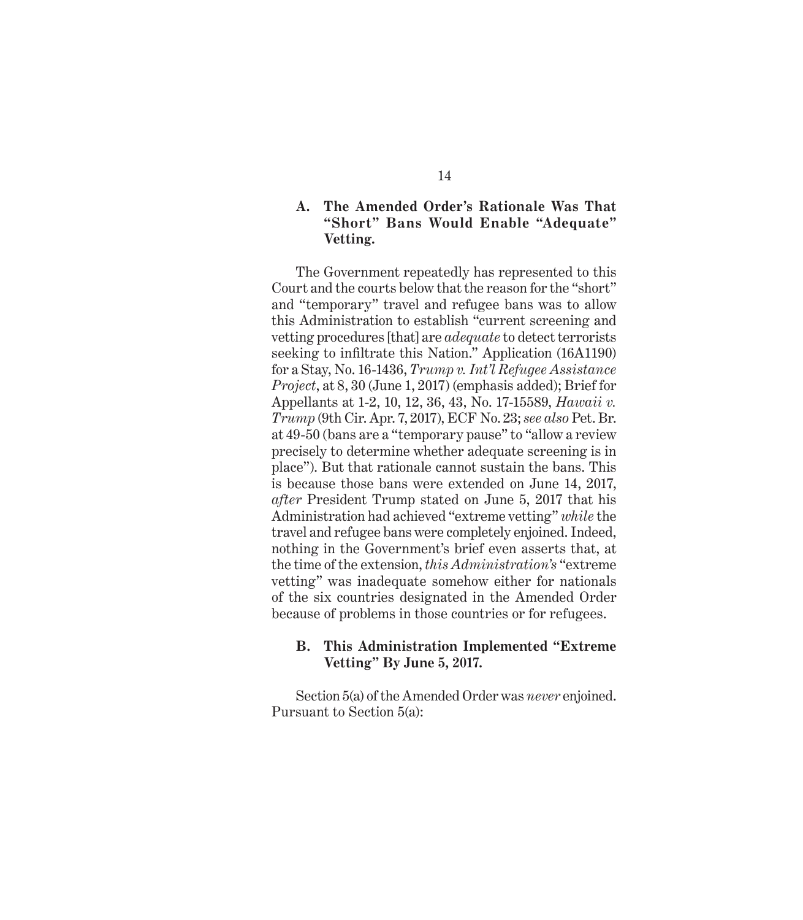## **A. The Amended Order's Rationale Was That "Short" Bans Would Enable "Adequate" Vetting.**

The Government repeatedly has represented to this Court and the courts below that the reason for the "short" and "temporary" travel and refugee bans was to allow this Administration to establish "current screening and vetting procedures [that] are *adequate* to detect terrorists seeking to infiltrate this Nation." Application (16A1190) for a Stay, No. 16-1436, *Trump v. Int'l Refugee Assistance Project*, at 8, 30 (June 1, 2017) (emphasis added); Brief for Appellants at 1-2, 10, 12, 36, 43, No. 17-15589, *Hawaii v. Trump* (9th Cir. Apr. 7, 2017), ECF No. 23; *see also* Pet. Br. at 49-50 (bans are a "temporary pause" to "allow a review precisely to determine whether adequate screening is in place"). But that rationale cannot sustain the bans. This is because those bans were extended on June 14, 2017, *after* President Trump stated on June 5, 2017 that his Administration had achieved "extreme vetting" *while* the travel and refugee bans were completely enjoined. Indeed, nothing in the Government's brief even asserts that, at the time of the extension, *this Administration's* "extreme vetting" was inadequate somehow either for nationals of the six countries designated in the Amended Order because of problems in those countries or for refugees.

#### **B. This Administration Implemented "Extreme Vetting" By June 5, 2017.**

Section 5(a) of the Amended Order was *never* enjoined. Pursuant to Section 5(a):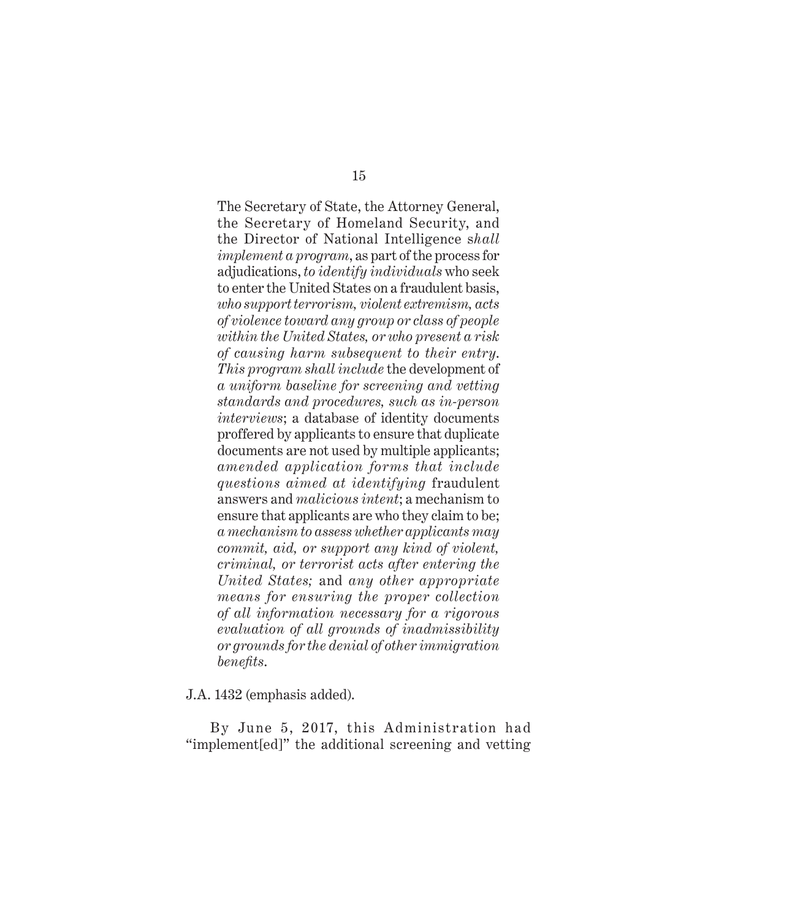The Secretary of State, the Attorney General, the Secretary of Homeland Security, and the Director of National Intelligence s*hall implement a program*, as part of the process for adjudications, *to identify individuals* who seek to enter the United States on a fraudulent basis, *who support terrorism, violent extremism, acts of violence toward any group or class of people within the United States, or who present a risk of causing harm subsequent to their entry*. *This program shall include* the development of *a uniform baseline for screening and vetting standards and procedures, such as in-person interviews*; a database of identity documents proffered by applicants to ensure that duplicate documents are not used by multiple applicants; *amended application forms that include questions aimed at identifying* fraudulent answers and *malicious intent*; a mechanism to ensure that applicants are who they claim to be; *a mechanism to assess whether applicants may commit, aid, or support any kind of violent, criminal, or terrorist acts after entering the United States;* and *any other appropriate means for ensuring the proper collection of all information necessary for a rigorous evaluation of all grounds of inadmissibility or grounds for the denial of other immigration benefits*.

J.A. 1432 (emphasis added).

By June 5, 2017, this Administration had "implement[ed]" the additional screening and vetting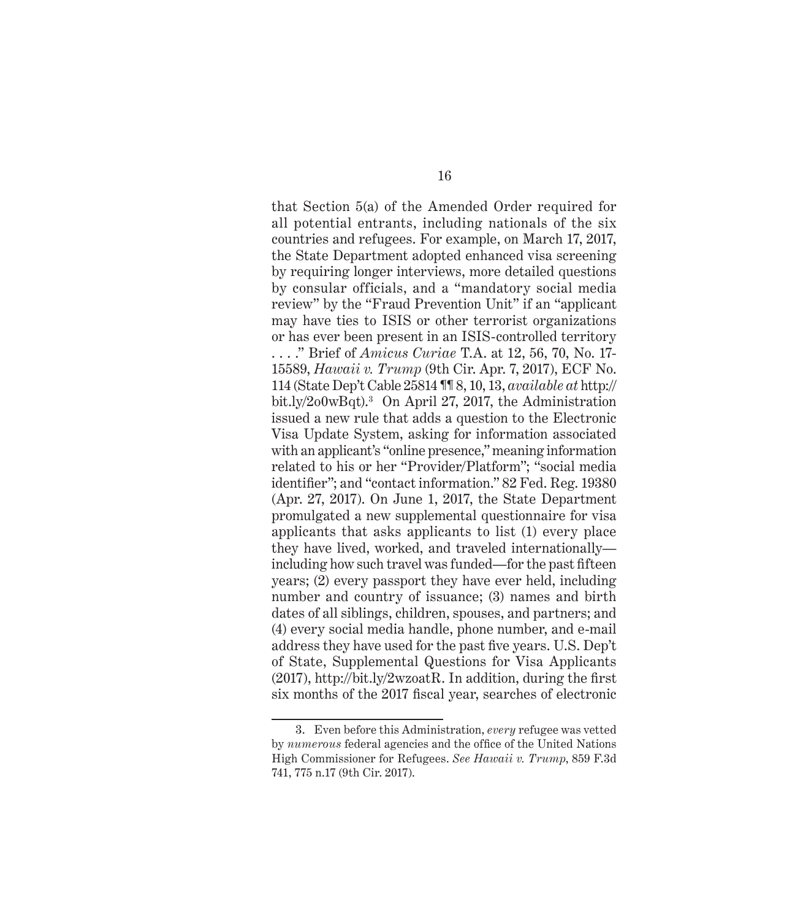that Section 5(a) of the Amended Order required for all potential entrants, including nationals of the six countries and refugees. For example, on March 17, 2017, the State Department adopted enhanced visa screening by requiring longer interviews, more detailed questions by consular officials, and a "mandatory social media review" by the "Fraud Prevention Unit" if an "applicant may have ties to ISIS or other terrorist organizations or has ever been present in an ISIS-controlled territory . . . ." Brief of *Amicus Curiae* T.A. at 12, 56, 70, No. 17- 15589, *Hawaii v. Trump* (9th Cir. Apr. 7, 2017), ECF No. 114 (State Dep't Cable 25814 ¶¶ 8, 10, 13, *available at* http:// bit.ly/2o0wBqt).3 On April 27, 2017, the Administration issued a new rule that adds a question to the Electronic Visa Update System, asking for information associated with an applicant's "online presence," meaning information related to his or her "Provider/Platform"; "social media identifier"; and "contact information." 82 Fed. Reg. 19380 (Apr. 27, 2017). On June 1, 2017, the State Department promulgated a new supplemental questionnaire for visa applicants that asks applicants to list (1) every place they have lived, worked, and traveled internationally including how such travel was funded—for the past fifteen years; (2) every passport they have ever held, including number and country of issuance; (3) names and birth dates of all siblings, children, spouses, and partners; and (4) every social media handle, phone number, and e-mail address they have used for the past five years. U.S. Dep't of State, Supplemental Questions for Visa Applicants (2017), http://bit.ly/2wzoatR. In addition, during the first six months of the 2017 fiscal year, searches of electronic

<sup>3.</sup> Even before this Administration, *every* refugee was vetted by *numerous* federal agencies and the office of the United Nations High Commissioner for Refugees. *See Hawaii v. Trump*, 859 F.3d 741, 775 n.17 (9th Cir. 2017).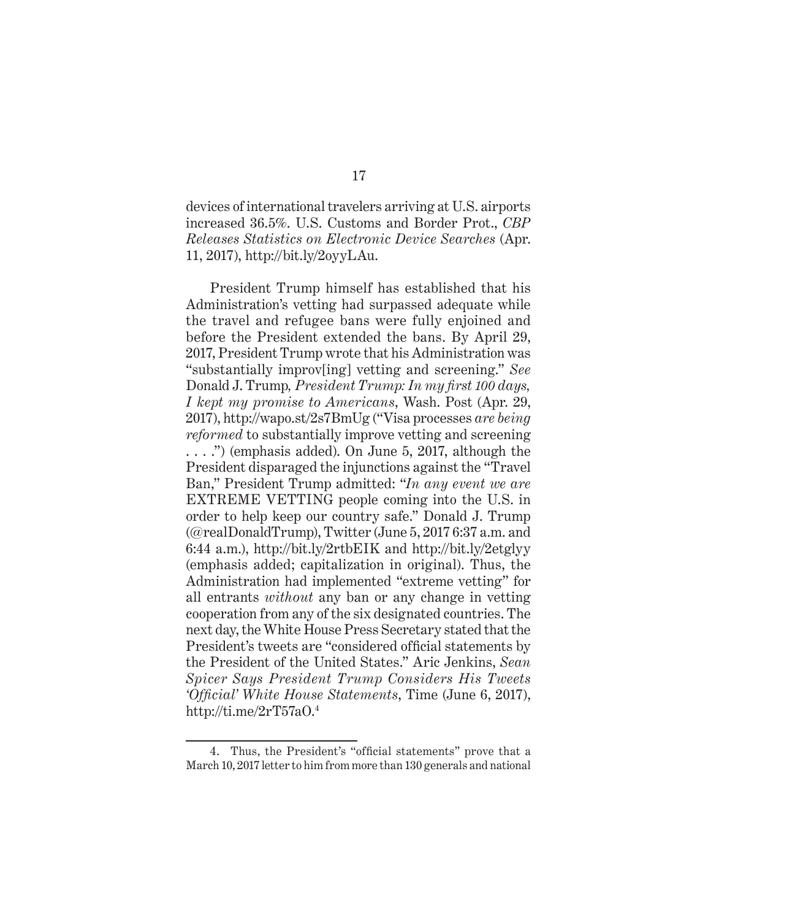devices of international travelers arriving at U.S. airports increased 36.5%. U.S. Customs and Border Prot., *CBP Releases Statistics on Electronic Device Searches* (Apr. 11, 2017), http://bit.ly/2oyyLAu.

President Trump himself has established that his Administration's vetting had surpassed adequate while the travel and refugee bans were fully enjoined and before the President extended the bans. By April 29, 2017, President Trump wrote that his Administration was "substantially improv[ing] vetting and screening." *See*  Donald J. Trump*, President Trump: In my first 100 days, I kept my promise to Americans*, Wash. Post (Apr. 29, 2017), http://wapo.st/2s7BmUg ("Visa processes *are being reformed* to substantially improve vetting and screening . . . .") (emphasis added). On June 5, 2017, although the President disparaged the injunctions against the "Travel Ban," President Trump admitted: "*In any event we are* EXTREME VETTING people coming into the U.S. in order to help keep our country safe." Donald J. Trump (@realDonaldTrump), Twitter (June 5, 2017 6:37 a.m. and 6:44 a.m.), http://bit.ly/2rtbEIK and http://bit.ly/2etglyy (emphasis added; capitalization in original). Thus, the Administration had implemented "extreme vetting" for all entrants *without* any ban or any change in vetting cooperation from any of the six designated countries. The next day, the White House Press Secretary stated that the President's tweets are "considered official statements by the President of the United States." Aric Jenkins, *Sean Spicer Says President Trump Considers His Tweets 'Official' White House Statements*, Time (June 6, 2017), http://ti.me/2rT57aO.4

<sup>4.</sup> Thus, the President's "official statements" prove that a March 10, 2017 letter to him from more than 130 generals and national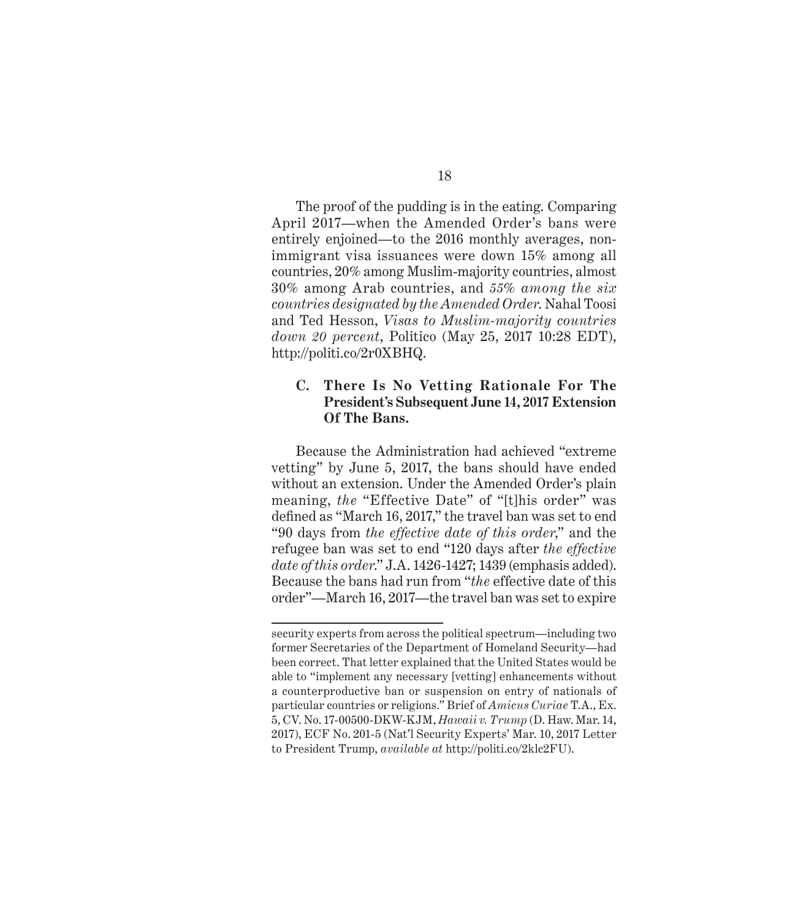The proof of the pudding is in the eating. Comparing April 2017—when the Amended Order's bans were entirely enjoined—to the 2016 monthly averages, nonimmigrant visa issuances were down 15% among all countries, 20% among Muslim-majority countries, almost 30% among Arab countries, and *55% among the six countries designated by the Amended Order*. Nahal Toosi and Ted Hesson, *Visas to Muslim-majority countries down 20 percent*, Politico (May 25, 2017 10:28 EDT), http://politi.co/2r0XBHQ.

## **C. There Is No Vetting Rationale For The President's Subsequent June 14, 2017 Extension Of The Bans.**

Because the Administration had achieved "extreme vetting" by June 5, 2017, the bans should have ended without an extension. Under the Amended Order's plain meaning, *the* "Effective Date" of "[t]his order" was defined as "March 16, 2017," the travel ban was set to end "90 days from *the effective date of this order*," and the refugee ban was set to end "120 days after *the effective date of this order*." J.A. 1426-1427; 1439 (emphasis added). Because the bans had run from "*the* effective date of this order"—March 16, 2017—the travel ban was set to expire

security experts from across the political spectrum—including two former Secretaries of the Department of Homeland Security—had been correct. That letter explained that the United States would be able to "implement any necessary [vetting] enhancements without a counterproductive ban or suspension on entry of nationals of particular countries or religions." Brief of *Amicus Curiae* T.A., Ex. 5, CV. No. 17-00500-DKW-KJM, *Hawaii v. Trump* (D. Haw. Mar. 14, 2017), ECF No. 201-5 (Nat'l Security Experts' Mar. 10, 2017 Letter to President Trump, *available at* http://politi.co/2klc2FU).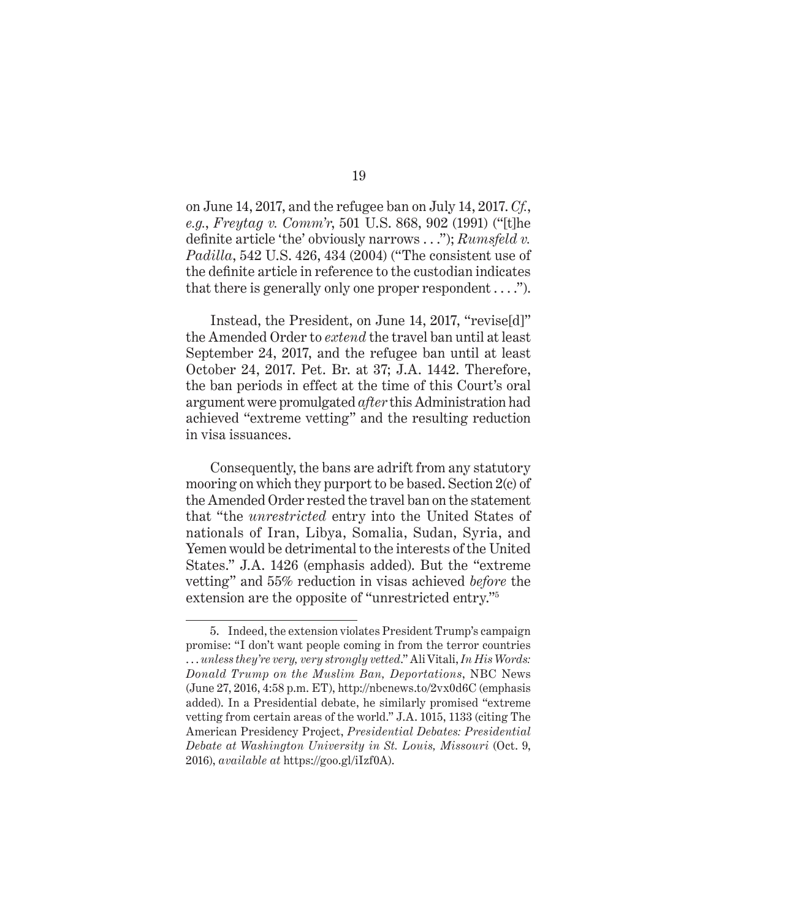on June 14, 2017, and the refugee ban on July 14, 2017. *Cf.*, *e.g.*, *Freytag v. Comm'r*, 501 U.S. 868, 902 (1991) ("[t]he definite article 'the' obviously narrows . . ."); *Rumsfeld v. Padilla*, 542 U.S. 426, 434 (2004) ("The consistent use of the definite article in reference to the custodian indicates that there is generally only one proper respondent  $\dots$ .").

Instead, the President, on June 14, 2017, "revise[d]" the Amended Order to *extend* the travel ban until at least September 24, 2017, and the refugee ban until at least October 24, 2017. Pet. Br. at 37; J.A. 1442. Therefore, the ban periods in effect at the time of this Court's oral argument were promulgated *after* this Administration had achieved "extreme vetting" and the resulting reduction in visa issuances.

Consequently, the bans are adrift from any statutory mooring on which they purport to be based. Section 2(c) of the Amended Order rested the travel ban on the statement that "the *unrestricted* entry into the United States of nationals of Iran, Libya, Somalia, Sudan, Syria, and Yemen would be detrimental to the interests of the United States." J.A. 1426 (emphasis added). But the "extreme vetting" and 55% reduction in visas achieved *before* the extension are the opposite of "unrestricted entry."5

<sup>5.</sup> Indeed, the extension violates President Trump's campaign promise: "I don't want people coming in from the terror countries . . . *unless they're very, very strongly vetted*." Ali Vitali, *In His Words: Donald Trump on the Muslim Ban, Deportations*, NBC News (June 27, 2016, 4:58 p.m. ET), http://nbcnews.to/2vx0d6C (emphasis added). In a Presidential debate, he similarly promised "extreme vetting from certain areas of the world." J.A. 1015, 1133 (citing The American Presidency Project, *Presidential Debates: Presidential Debate at Washington University in St. Louis, Missouri* (Oct. 9, 2016), *available at* https://goo.gl/iIzf0A).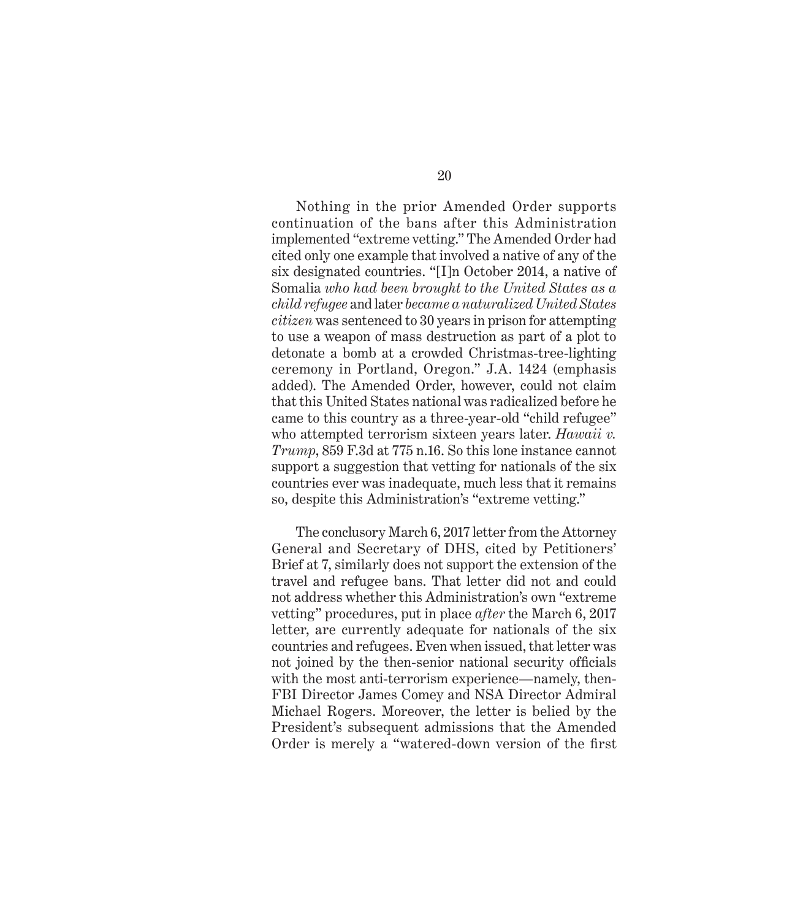Nothing in the prior Amended Order supports continuation of the bans after this Administration implemented "extreme vetting." The Amended Order had cited only one example that involved a native of any of the six designated countries. "[I]n October 2014, a native of Somalia *who had been brought to the United States as a child refugee* and later *became a naturalized United States citizen* was sentenced to 30 years in prison for attempting to use a weapon of mass destruction as part of a plot to detonate a bomb at a crowded Christmas-tree-lighting ceremony in Portland, Oregon." J.A. 1424 (emphasis added). The Amended Order, however, could not claim that this United States national was radicalized before he came to this country as a three-year-old "child refugee" who attempted terrorism sixteen years later. *Hawaii v. Trump*, 859 F.3d at 775 n.16. So this lone instance cannot support a suggestion that vetting for nationals of the six countries ever was inadequate, much less that it remains so, despite this Administration's "extreme vetting."

The conclusory March 6, 2017 letter from the Attorney General and Secretary of DHS, cited by Petitioners' Brief at 7, similarly does not support the extension of the travel and refugee bans. That letter did not and could not address whether this Administration's own "extreme vetting" procedures, put in place *after* the March 6, 2017 letter, are currently adequate for nationals of the six countries and refugees. Even when issued, that letter was not joined by the then-senior national security officials with the most anti-terrorism experience—namely, then-FBI Director James Comey and NSA Director Admiral Michael Rogers. Moreover, the letter is belied by the President's subsequent admissions that the Amended Order is merely a "watered-down version of the first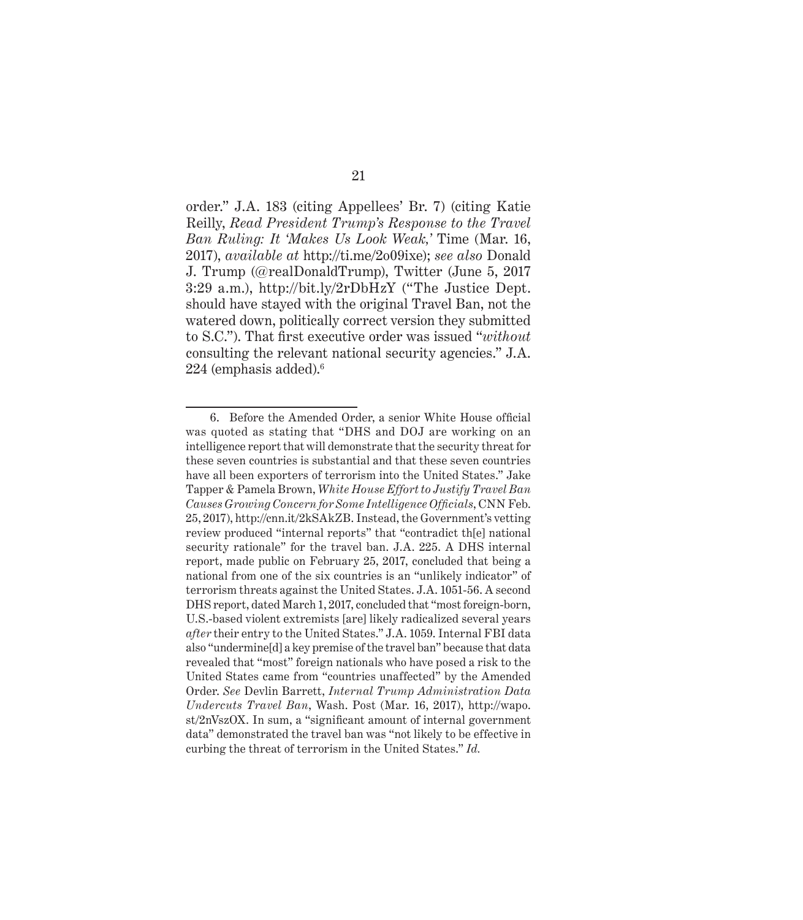order." J.A. 183 (citing Appellees' Br. 7) (citing Katie Reilly, *Read President Trump's Response to the Travel Ban Ruling: It 'Makes Us Look Weak,'* Time (Mar. 16, 2017), *available at* http://ti.me/2o09ixe); *see also* Donald J. Trump (@realDonaldTrump), Twitter (June 5, 2017 3:29 a.m.), http://bit.ly/2rDbHzY ("The Justice Dept. should have stayed with the original Travel Ban, not the watered down, politically correct version they submitted to S.C."). That first executive order was issued "*without*  consulting the relevant national security agencies." J.A. 224 (emphasis added).6

<sup>6.</sup> Before the Amended Order, a senior White House official was quoted as stating that "DHS and DOJ are working on an intelligence report that will demonstrate that the security threat for these seven countries is substantial and that these seven countries have all been exporters of terrorism into the United States." Jake Tapper & Pamela Brown, *White House Effort to Justify Travel Ban Causes Growing Concern for Some Intelligence Officials*, CNN Feb. 25, 2017), http://cnn.it/2kSAkZB. Instead, the Government's vetting review produced "internal reports" that "contradict th[e] national security rationale" for the travel ban. J.A. 225. A DHS internal report, made public on February 25, 2017, concluded that being a national from one of the six countries is an "unlikely indicator" of terrorism threats against the United States. J.A. 1051-56. A second DHS report, dated March 1, 2017, concluded that "most foreign-born, U.S.-based violent extremists [are] likely radicalized several years *after* their entry to the United States." J.A. 1059. Internal FBI data also "undermine[d] a key premise of the travel ban" because that data revealed that "most" foreign nationals who have posed a risk to the United States came from "countries unaffected" by the Amended Order. *See* Devlin Barrett, *Internal Trump Administration Data Undercuts Travel Ban*, Wash. Post (Mar. 16, 2017), http://wapo. st/2nVszOX. In sum, a "significant amount of internal government data" demonstrated the travel ban was "not likely to be effective in curbing the threat of terrorism in the United States." *Id.*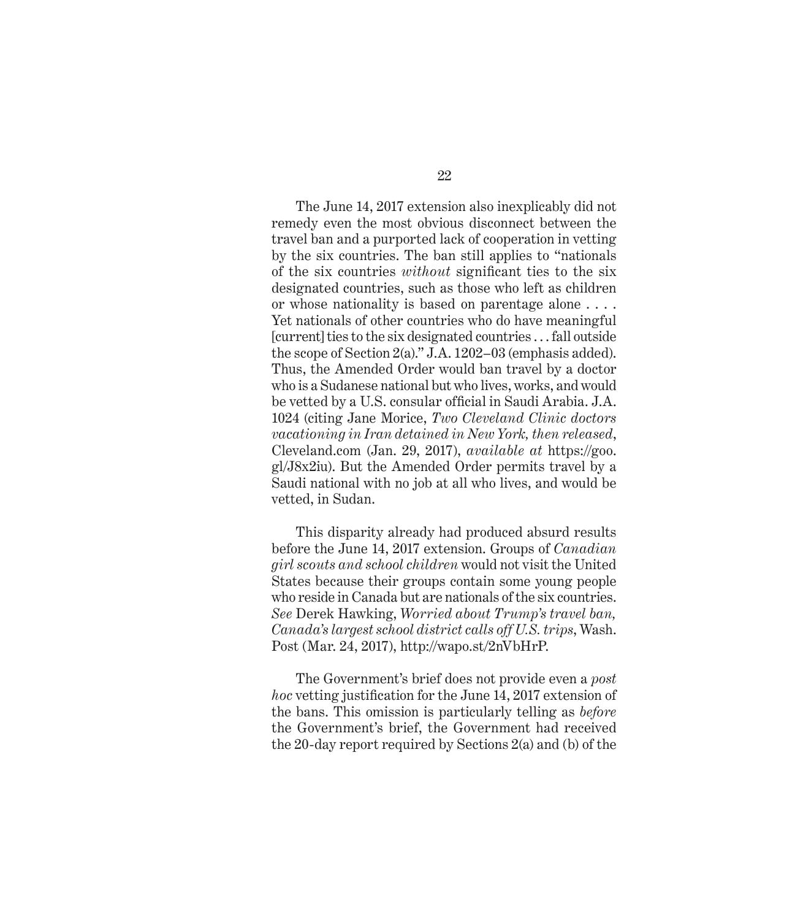The June 14, 2017 extension also inexplicably did not remedy even the most obvious disconnect between the travel ban and a purported lack of cooperation in vetting by the six countries. The ban still applies to "nationals of the six countries *without* significant ties to the six designated countries, such as those who left as children or whose nationality is based on parentage alone . . . . Yet nationals of other countries who do have meaningful [current] ties to the six designated countries . . . fall outside the scope of Section 2(a)." J.A. 1202–03 (emphasis added). Thus, the Amended Order would ban travel by a doctor who is a Sudanese national but who lives, works, and would be vetted by a U.S. consular official in Saudi Arabia. J.A. 1024 (citing Jane Morice, *Two Cleveland Clinic doctors vacationing in Iran detained in New York, then released*, Cleveland.com (Jan. 29, 2017), *available at* https://goo. gl/J8x2iu). But the Amended Order permits travel by a Saudi national with no job at all who lives, and would be vetted, in Sudan.

This disparity already had produced absurd results before the June 14, 2017 extension. Groups of *Canadian girl scouts and school children* would not visit the United States because their groups contain some young people who reside in Canada but are nationals of the six countries. *See* Derek Hawking, *Worried about Trump's travel ban, Canada's largest school district calls off U.S. trips*, Wash. Post (Mar. 24, 2017), http://wapo.st/2nVbHrP.

The Government's brief does not provide even a *post hoc* vetting justification for the June 14, 2017 extension of the bans. This omission is particularly telling as *before*  the Government's brief, the Government had received the 20-day report required by Sections 2(a) and (b) of the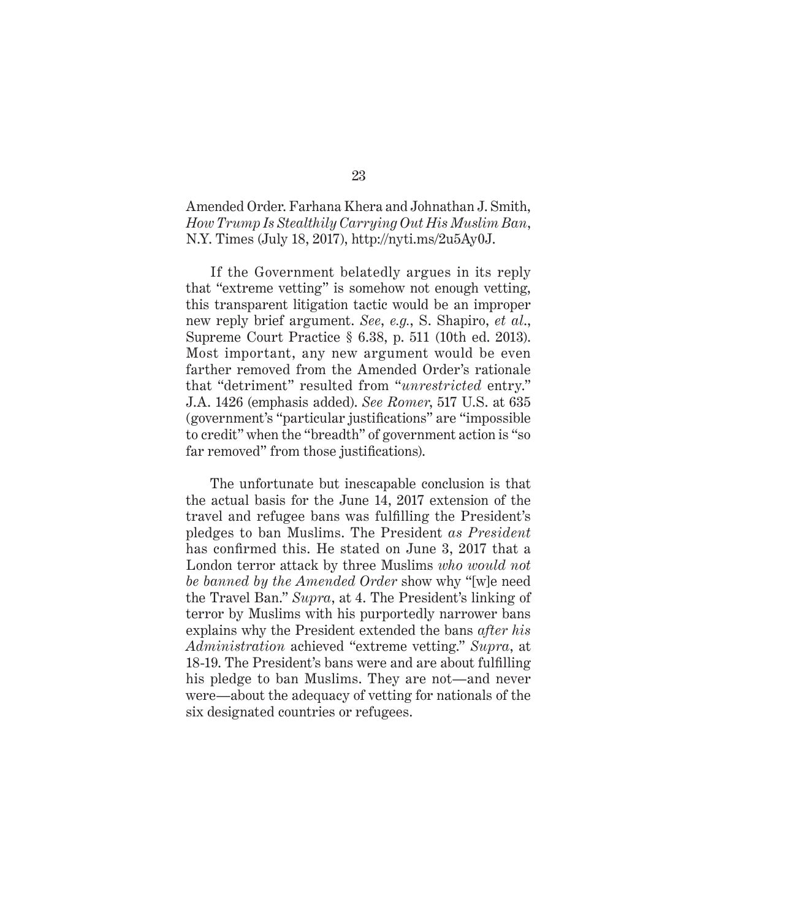## Amended Order. Farhana Khera and Johnathan J. Smith, *How Trump Is Stealthily Carrying Out His Muslim Ban*, N.Y. Times (July 18, 2017), http://nyti.ms/2u5Ay0J.

If the Government belatedly argues in its reply that "extreme vetting" is somehow not enough vetting, this transparent litigation tactic would be an improper new reply brief argument. *See*, *e.g.*, S. Shapiro, *et al*., Supreme Court Practice § 6.38, p. 511 (10th ed. 2013). Most important, any new argument would be even farther removed from the Amended Order's rationale that "detriment" resulted from "*unrestricted* entry." J.A. 1426 (emphasis added). *See Romer*, 517 U.S. at 635 (government's "particular justifications" are "impossible to credit" when the "breadth" of government action is "so far removed" from those justifications).

The unfortunate but inescapable conclusion is that the actual basis for the June 14, 2017 extension of the travel and refugee bans was fulfilling the President's pledges to ban Muslims. The President *as President* has confirmed this. He stated on June 3, 2017 that a London terror attack by three Muslims *who would not be banned by the Amended Order* show why "[w]e need the Travel Ban." *Supra*, at 4. The President's linking of terror by Muslims with his purportedly narrower bans explains why the President extended the bans *after his Administration* achieved "extreme vetting." *Supra*, at 18-19. The President's bans were and are about fulfilling his pledge to ban Muslims. They are not—and never were—about the adequacy of vetting for nationals of the six designated countries or refugees.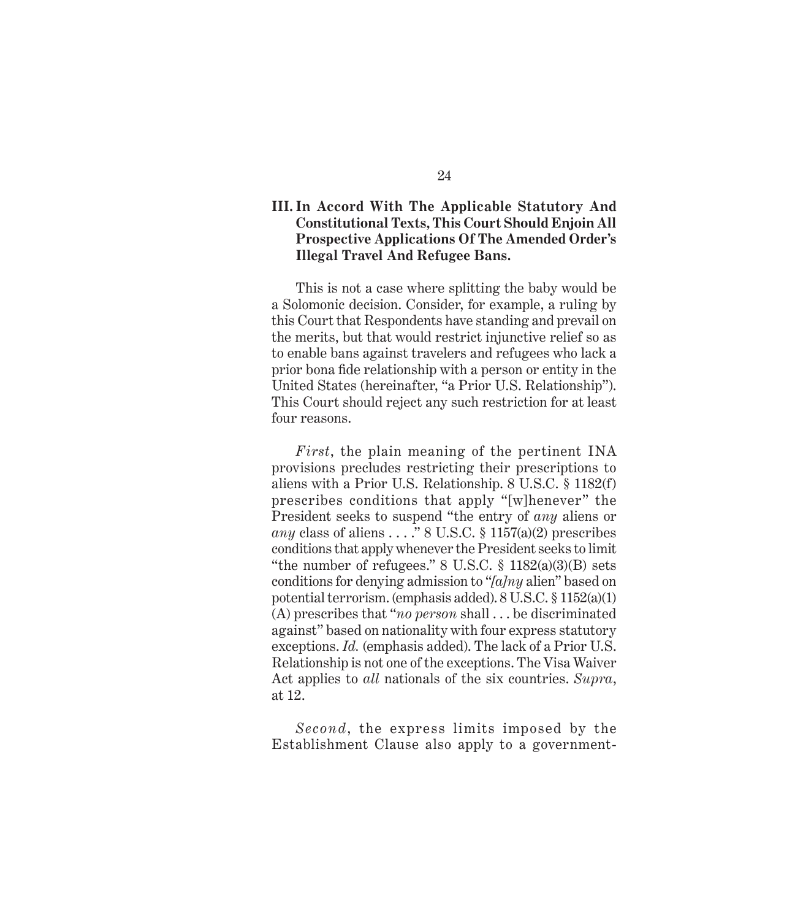## **III. In Accord With The Applicable Statutory And Constitutional Texts, This Court Should Enjoin All Prospective Applications Of The Amended Order's Illegal Travel And Refugee Bans.**

This is not a case where splitting the baby would be a Solomonic decision. Consider, for example, a ruling by this Court that Respondents have standing and prevail on the merits, but that would restrict injunctive relief so as to enable bans against travelers and refugees who lack a prior bona fide relationship with a person or entity in the United States (hereinafter, "a Prior U.S. Relationship"). This Court should reject any such restriction for at least four reasons.

*First*, the plain meaning of the pertinent INA provisions precludes restricting their prescriptions to aliens with a Prior U.S. Relationship. 8 U.S.C. § 1182(f) prescribes conditions that apply "[w]henever" the President seeks to suspend "the entry of *any* aliens or *any* class of aliens . . . ." 8 U.S.C. § 1157(a)(2) prescribes conditions that apply whenever the President seeks to limit "the number of refugees."  $8 \text{ U.S.C. } \frac{6}{3} \frac{1182(a)(3)(B)}{B}$  sets conditions for denying admission to "*[a]ny* alien" based on potential terrorism. (emphasis added). 8 U.S.C. § 1152(a)(1) (A) prescribes that "*no person* shall . . . be discriminated against" based on nationality with four express statutory exceptions. *Id.* (emphasis added). The lack of a Prior U.S. Relationship is not one of the exceptions. The Visa Waiver Act applies to *all* nationals of the six countries. *Supra*, at 12.

*Second*, the express limits imposed by the Establishment Clause also apply to a government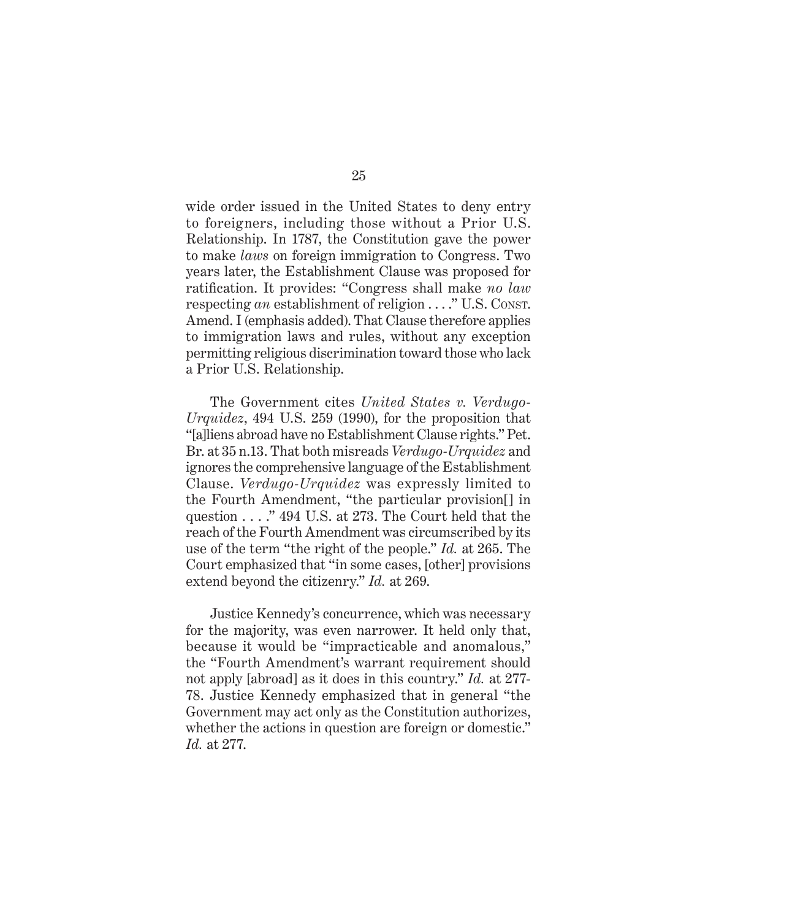wide order issued in the United States to deny entry to foreigners, including those without a Prior U.S. Relationship. In 1787, the Constitution gave the power to make *laws* on foreign immigration to Congress. Two years later, the Establishment Clause was proposed for ratification. It provides: "Congress shall make *no law*  respecting *an* establishment of religion . . . ." U.S. CONST. Amend. I (emphasis added). That Clause therefore applies to immigration laws and rules, without any exception permitting religious discrimination toward those who lack a Prior U.S. Relationship.

The Government cites *United States v. Verdugo-Urquidez*, 494 U.S. 259 (1990), for the proposition that "[a]liens abroad have no Establishment Clause rights." Pet. Br. at 35 n.13. That both misreads *Verdugo-Urquidez* and ignores the comprehensive language of the Establishment Clause. *Verdugo-Urquidez* was expressly limited to the Fourth Amendment, "the particular provision[] in question . . . ." 494 U.S. at 273. The Court held that the reach of the Fourth Amendment was circumscribed by its use of the term "the right of the people." *Id.* at 265. The Court emphasized that "in some cases, [other] provisions extend beyond the citizenry." *Id.* at 269.

Justice Kennedy's concurrence, which was necessary for the majority, was even narrower. It held only that, because it would be "impracticable and anomalous," the "Fourth Amendment's warrant requirement should not apply [abroad] as it does in this country." *Id.* at 277- 78. Justice Kennedy emphasized that in general "the Government may act only as the Constitution authorizes, whether the actions in question are foreign or domestic." *Id.* at 277.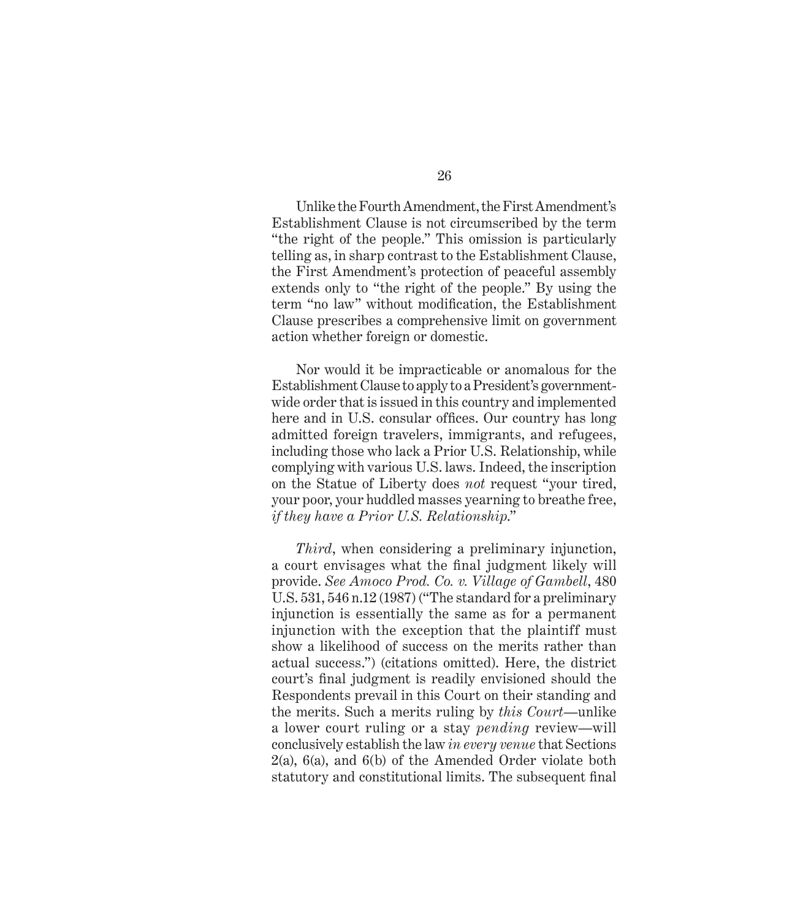Unlike the Fourth Amendment, the First Amendment's Establishment Clause is not circumscribed by the term "the right of the people." This omission is particularly telling as, in sharp contrast to the Establishment Clause, the First Amendment's protection of peaceful assembly extends only to "the right of the people." By using the term "no law" without modification, the Establishment Clause prescribes a comprehensive limit on government action whether foreign or domestic.

Nor would it be impracticable or anomalous for the Establishment Clause to apply to a President's governmentwide order that is issued in this country and implemented here and in U.S. consular offices. Our country has long admitted foreign travelers, immigrants, and refugees, including those who lack a Prior U.S. Relationship, while complying with various U.S. laws. Indeed, the inscription on the Statue of Liberty does *not* request "your tired, your poor, your huddled masses yearning to breathe free, *if they have a Prior U.S. Relationship*."

*Third*, when considering a preliminary injunction, a court envisages what the final judgment likely will provide. *See Amoco Prod. Co. v. Village of Gambell*, 480 U.S. 531, 546 n.12 (1987) ("The standard for a preliminary injunction is essentially the same as for a permanent injunction with the exception that the plaintiff must show a likelihood of success on the merits rather than actual success.") (citations omitted). Here, the district court's final judgment is readily envisioned should the Respondents prevail in this Court on their standing and the merits. Such a merits ruling by *this Court*—unlike a lower court ruling or a stay *pending* review—will conclusively establish the law *in every venue* that Sections 2(a), 6(a), and 6(b) of the Amended Order violate both statutory and constitutional limits. The subsequent final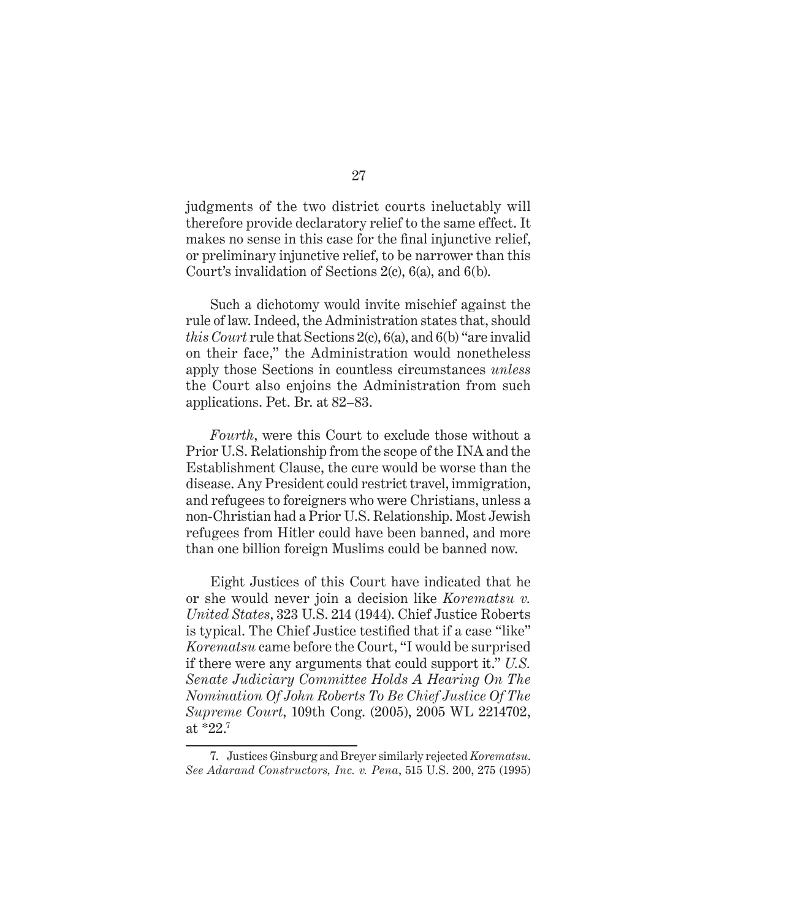judgments of the two district courts ineluctably will therefore provide declaratory relief to the same effect. It makes no sense in this case for the final injunctive relief, or preliminary injunctive relief, to be narrower than this Court's invalidation of Sections 2(c), 6(a), and 6(b).

Such a dichotomy would invite mischief against the rule of law. Indeed, the Administration states that, should *this Court* rule that Sections 2(c), 6(a), and 6(b) "are invalid on their face," the Administration would nonetheless apply those Sections in countless circumstances *unless*  the Court also enjoins the Administration from such applications. Pet. Br. at 82–83.

*Fourth*, were this Court to exclude those without a Prior U.S. Relationship from the scope of the INA and the Establishment Clause, the cure would be worse than the disease. Any President could restrict travel, immigration, and refugees to foreigners who were Christians, unless a non-Christian had a Prior U.S. Relationship. Most Jewish refugees from Hitler could have been banned, and more than one billion foreign Muslims could be banned now.

Eight Justices of this Court have indicated that he or she would never join a decision like *Korematsu v. United States*, 323 U.S. 214 (1944). Chief Justice Roberts is typical. The Chief Justice testified that if a case "like" *Korematsu* came before the Court, "I would be surprised if there were any arguments that could support it." *U.S. Senate Judiciary Committee Holds A Hearing On The Nomination Of John Roberts To Be Chief Justice Of The Supreme Court*, 109th Cong. (2005), 2005 WL 2214702, at \*22.7

<sup>7.</sup> Justices Ginsburg and Breyer similarly rejected *Korematsu*. *See Adarand Constructors, Inc. v. Pena*, 515 U.S. 200, 275 (1995)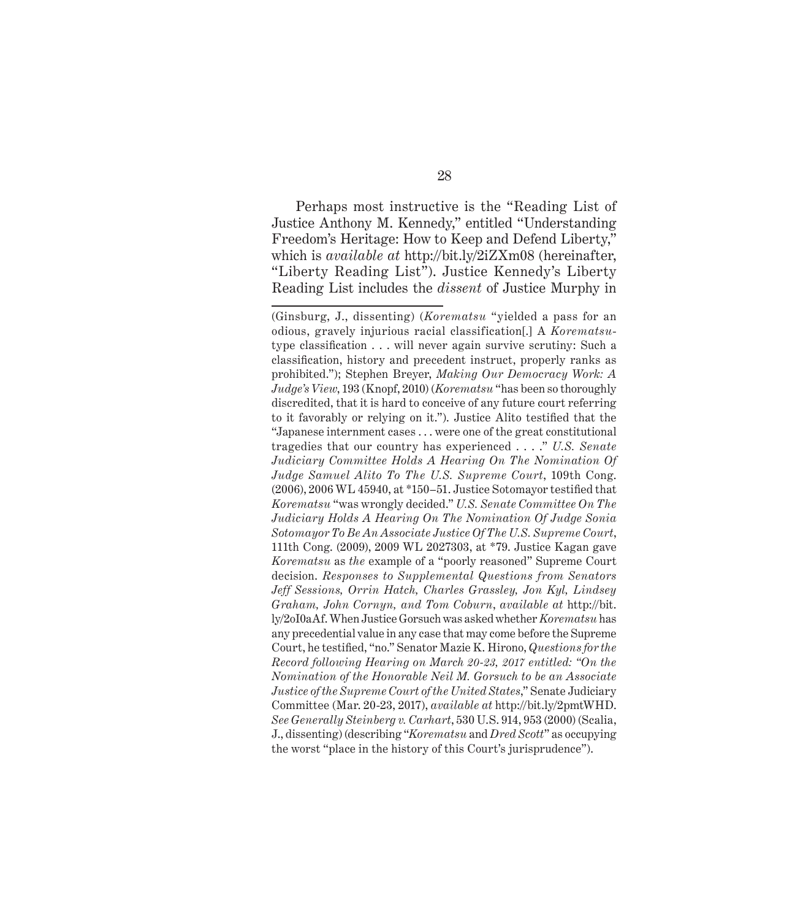Perhaps most instructive is the "Reading List of Justice Anthony M. Kennedy," entitled "Understanding Freedom's Heritage: How to Keep and Defend Liberty," which is *available at* http://bit.ly/2iZXm08 (hereinafter, "Liberty Reading List"). Justice Kennedy's Liberty Reading List includes the *dissent* of Justice Murphy in

<sup>(</sup>Ginsburg, J., dissenting) (*Korematsu* "yielded a pass for an odious, gravely injurious racial classification[.] A *Korematsu*type classification . . . will never again survive scrutiny: Such a classification, history and precedent instruct, properly ranks as prohibited."); Stephen Breyer, *Making Our Democracy Work: A Judge's View*, 193 (Knopf, 2010) (*Korematsu* "has been so thoroughly discredited, that it is hard to conceive of any future court referring to it favorably or relying on it."). Justice Alito testified that the "Japanese internment cases . . . were one of the great constitutional tragedies that our country has experienced . . . ." *U.S. Senate Judiciary Committee Holds A Hearing On The Nomination Of Judge Samuel Alito To The U.S. Supreme Court*, 109th Cong. (2006), 2006 WL 45940, at \*150–51. Justice Sotomayor testified that *Korematsu* "was wrongly decided." *U.S. Senate Committee On The Judiciary Holds A Hearing On The Nomination Of Judge Sonia Sotomayor To Be An Associate Justice Of The U.S. Supreme Court*, 111th Cong. (2009), 2009 WL 2027303, at \*79. Justice Kagan gave *Korematsu* as *the* example of a "poorly reasoned" Supreme Court decision. *Responses to Supplemental Questions from Senators Jeff Sessions, Orrin Hatch, Charles Grassley, Jon Kyl, Lindsey Graham, John Cornyn, and Tom Coburn*, *available at* http://bit. ly/2oI0aAf. When Justice Gorsuch was asked whether *Korematsu* has any precedential value in any case that may come before the Supreme Court, he testified, "no." Senator Mazie K. Hirono, *Questions for the Record following Hearing on March 20-23, 2017 entitled: "On the Nomination of the Honorable Neil M. Gorsuch to be an Associate Justice of the Supreme Court of the United States*," Senate Judiciary Committee (Mar. 20-23, 2017), *available at* http://bit.ly/2pmtWHD. *See Generally Steinberg v. Carhart*, 530 U.S. 914, 953 (2000) (Scalia, J., dissenting) (describing "*Korematsu* and *Dred Scott*" as occupying the worst "place in the history of this Court's jurisprudence").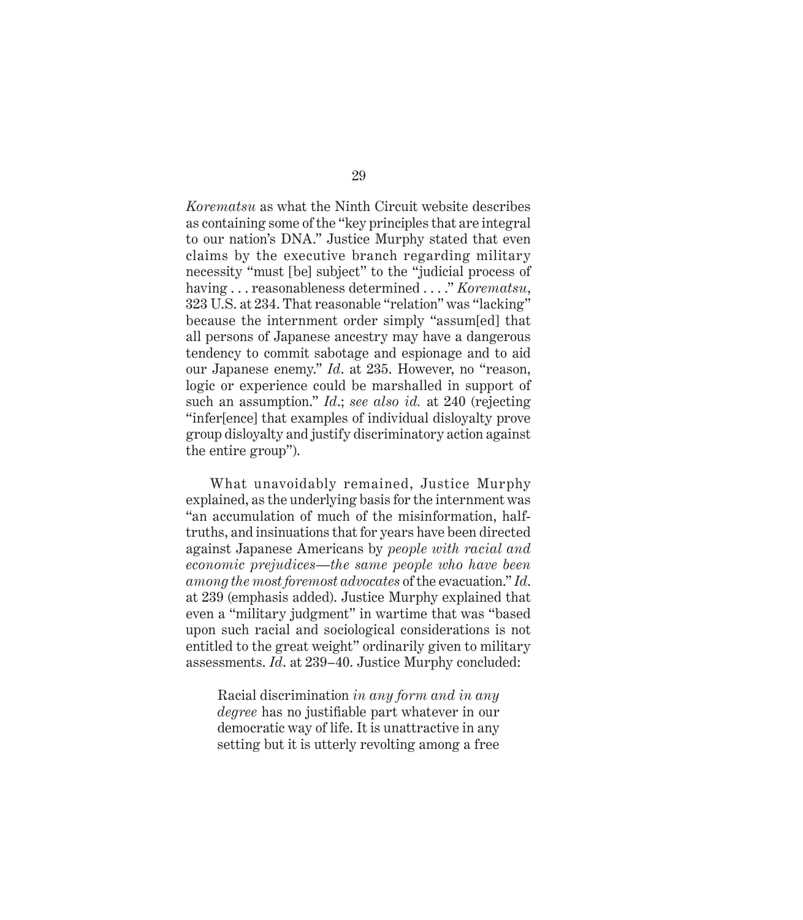*Korematsu* as what the Ninth Circuit website describes as containing some of the "key principles that are integral to our nation's DNA." Justice Murphy stated that even claims by the executive branch regarding military necessity "must [be] subject" to the "judicial process of having . . . reasonableness determined . . . ." *Korematsu*, 323 U.S. at 234. That reasonable "relation" was "lacking" because the internment order simply "assum[ed] that all persons of Japanese ancestry may have a dangerous tendency to commit sabotage and espionage and to aid our Japanese enemy." *Id*. at 235. However, no "reason, logic or experience could be marshalled in support of such an assumption." *Id*.; *see also id.* at 240 (rejecting "infer[ence] that examples of individual disloyalty prove group disloyalty and justify discriminatory action against the entire group").

What unavoidably remained, Justice Murphy explained, as the underlying basis for the internment was "an accumulation of much of the misinformation, halftruths, and insinuations that for years have been directed against Japanese Americans by *people with racial and economic prejudices—the same people who have been among the most foremost advocates* of the evacuation." *Id*. at 239 (emphasis added). Justice Murphy explained that even a "military judgment" in wartime that was "based upon such racial and sociological considerations is not entitled to the great weight" ordinarily given to military assessments. *Id*. at 239–40. Justice Murphy concluded:

Racial discrimination *in any form and in any degree* has no justifiable part whatever in our democratic way of life. It is unattractive in any setting but it is utterly revolting among a free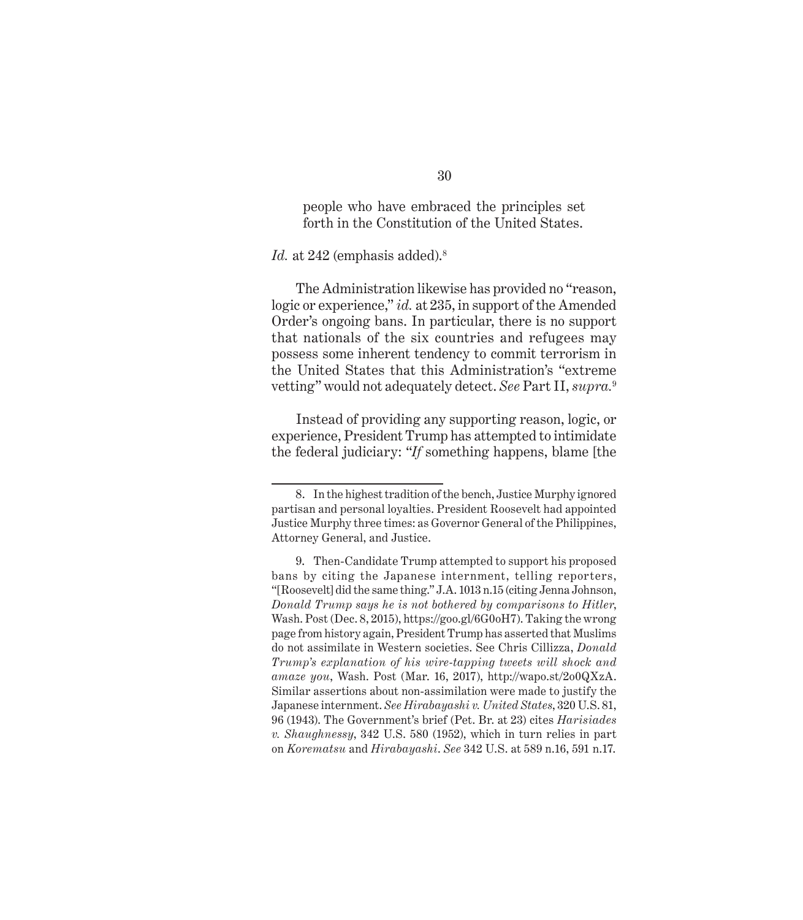people who have embraced the principles set forth in the Constitution of the United States.

#### *Id.* at 242 (emphasis added).<sup>8</sup>

The Administration likewise has provided no "reason, logic or experience," *id.* at 235, in support of the Amended Order's ongoing bans. In particular, there is no support that nationals of the six countries and refugees may possess some inherent tendency to commit terrorism in the United States that this Administration's "extreme vetting" would not adequately detect. *See* Part II, *supra.*<sup>9</sup>

Instead of providing any supporting reason, logic, or experience, President Trump has attempted to intimidate the federal judiciary: "*If* something happens, blame [the

<sup>8.</sup> In the highest tradition of the bench, Justice Murphy ignored partisan and personal loyalties. President Roosevelt had appointed Justice Murphy three times: as Governor General of the Philippines, Attorney General, and Justice.

<sup>9.</sup> Then-Candidate Trump attempted to support his proposed bans by citing the Japanese internment, telling reporters, "[Roosevelt] did the same thing." J.A. 1013 n.15 (citing Jenna Johnson, *Donald Trump says he is not bothered by comparisons to Hitler*, Wash. Post (Dec. 8, 2015), https://goo.gl/6G0oH7). Taking the wrong page from history again, President Trump has asserted that Muslims do not assimilate in Western societies. See Chris Cillizza, *Donald Trump's explanation of his wire-tapping tweets will shock and amaze you*, Wash. Post (Mar. 16, 2017), http://wapo.st/2o0QXzA. Similar assertions about non-assimilation were made to justify the Japanese internment. *See Hirabayashi v. United States*, 320 U.S. 81, 96 (1943). The Government's brief (Pet. Br. at 23) cites *Harisiades v. Shaughnessy*, 342 U.S. 580 (1952), which in turn relies in part on *Korematsu* and *Hirabayashi*. *See* 342 U.S. at 589 n.16, 591 n.17.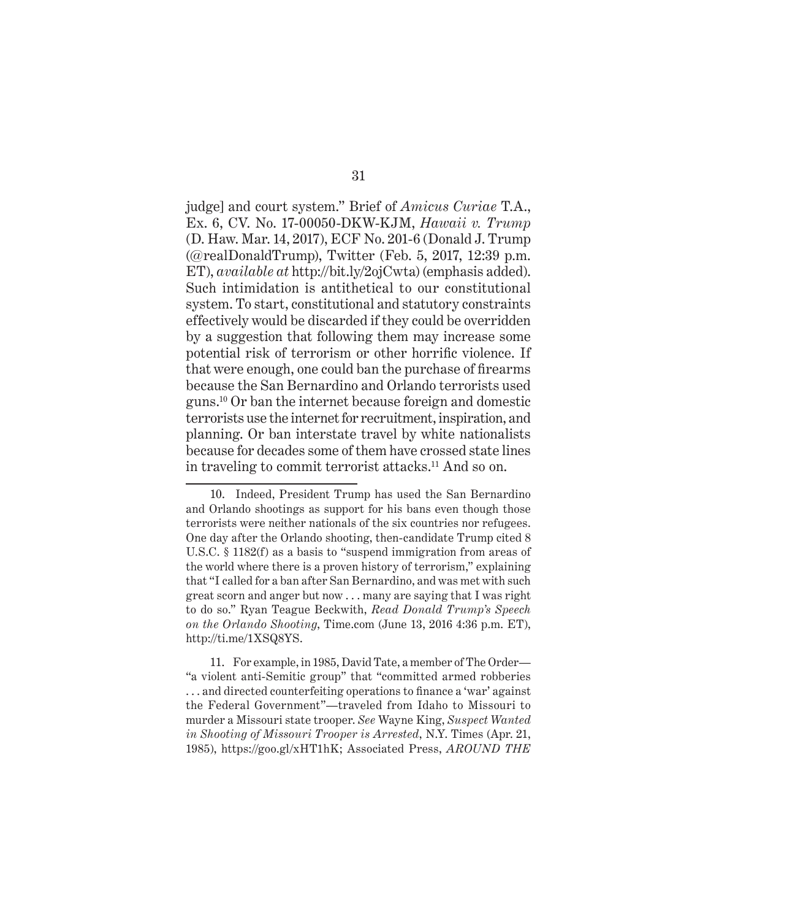judge] and court system." Brief of *Amicus Curiae* T.A., Ex. 6, CV. No. 17-00050-DKW-KJM, *Hawaii v. Trump* (D. Haw. Mar. 14, 2017), ECF No. 201-6 (Donald J. Trump (@realDonaldTrump), Twitter (Feb. 5, 2017, 12:39 p.m. ET), *available at* http://bit.ly/2ojCwta) (emphasis added). Such intimidation is antithetical to our constitutional system. To start, constitutional and statutory constraints effectively would be discarded if they could be overridden by a suggestion that following them may increase some potential risk of terrorism or other horrific violence. If that were enough, one could ban the purchase of firearms because the San Bernardino and Orlando terrorists used guns.10 Or ban the internet because foreign and domestic terrorists use the internet for recruitment, inspiration, and planning. Or ban interstate travel by white nationalists because for decades some of them have crossed state lines in traveling to commit terrorist attacks.11 And so on.

11. For example, in 1985, David Tate, a member of The Order— "a violent anti-Semitic group" that "committed armed robberies . . . and directed counterfeiting operations to finance a 'war' against the Federal Government"—traveled from Idaho to Missouri to murder a Missouri state trooper. *See* Wayne King, *Suspect Wanted in Shooting of Missouri Trooper is Arrested*, N.Y. Times (Apr. 21, 1985), https://goo.gl/xHT1hK; Associated Press, *AROUND THE* 

<sup>10.</sup> Indeed, President Trump has used the San Bernardino and Orlando shootings as support for his bans even though those terrorists were neither nationals of the six countries nor refugees. One day after the Orlando shooting, then-candidate Trump cited 8 U.S.C. § 1182(f) as a basis to "suspend immigration from areas of the world where there is a proven history of terrorism," explaining that "I called for a ban after San Bernardino, and was met with such great scorn and anger but now . . . many are saying that I was right to do so." Ryan Teague Beckwith, *Read Donald Trump's Speech on the Orlando Shooting*, Time.com (June 13, 2016 4:36 p.m. ET), http://ti.me/1XSQ8YS.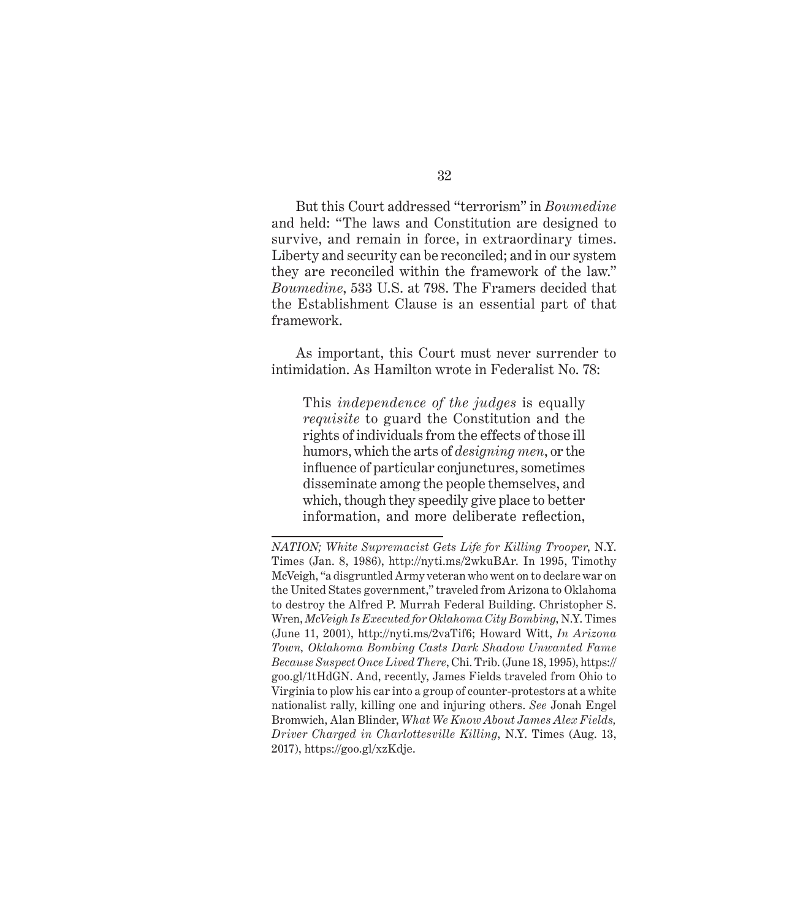But this Court addressed "terrorism" in *Boumedine* and held: "The laws and Constitution are designed to survive, and remain in force, in extraordinary times. Liberty and security can be reconciled; and in our system they are reconciled within the framework of the law." *Boumedine*, 533 U.S. at 798. The Framers decided that the Establishment Clause is an essential part of that framework.

As important, this Court must never surrender to intimidation. As Hamilton wrote in Federalist No. 78:

This *independence of the judges* is equally *requisite* to guard the Constitution and the rights of individuals from the effects of those ill humors, which the arts of *designing men*, or the influence of particular conjunctures, sometimes disseminate among the people themselves, and which, though they speedily give place to better information, and more deliberate reflection,

*NATION; White Supremacist Gets Life for Killing Trooper*, N.Y. Times (Jan. 8, 1986), http://nyti.ms/2wkuBAr. In 1995, Timothy McVeigh, "a disgruntled Army veteran who went on to declare war on the United States government," traveled from Arizona to Oklahoma to destroy the Alfred P. Murrah Federal Building. Christopher S. Wren, *McVeigh Is Executed for Oklahoma City Bombing*, N.Y. Times (June 11, 2001), http://nyti.ms/2vaTif6; Howard Witt, *In Arizona Town, Oklahoma Bombing Casts Dark Shadow Unwanted Fame Because Suspect Once Lived There*, Chi. Trib. (June 18, 1995), https:// goo.gl/1tHdGN. And, recently, James Fields traveled from Ohio to Virginia to plow his car into a group of counter-protestors at a white nationalist rally, killing one and injuring others. *See* Jonah Engel Bromwich, Alan Blinder, *What We Know About James Alex Fields, Driver Charged in Charlottesville Killing*, N.Y. Times (Aug. 13, 2017), https://goo.gl/xzKdje.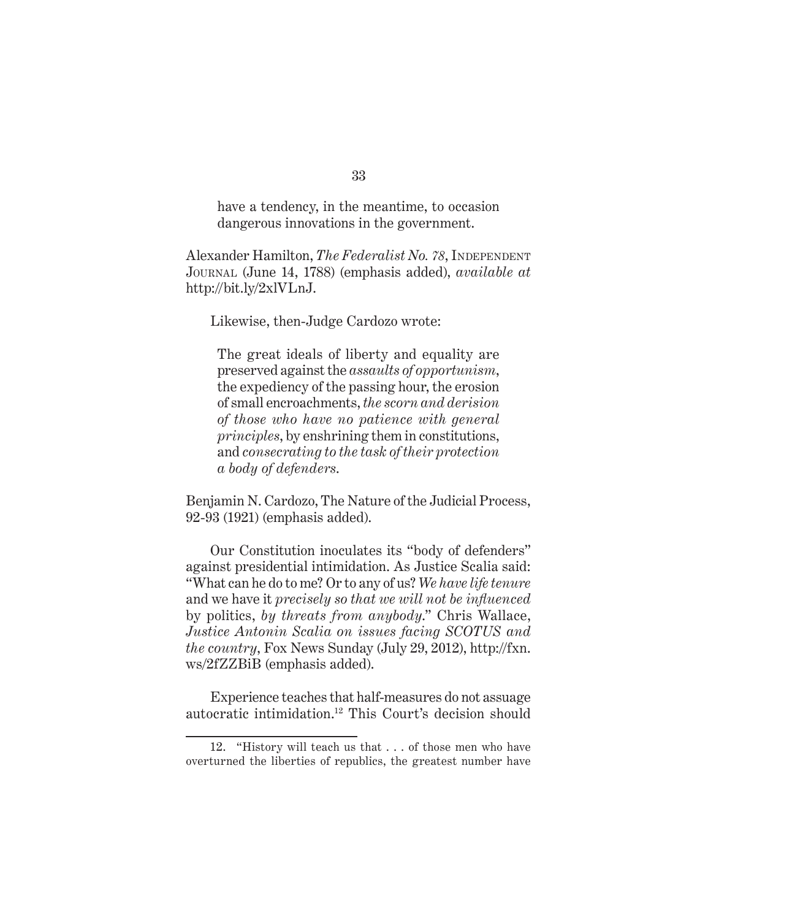have a tendency, in the meantime, to occasion dangerous innovations in the government.

Alexander Hamilton, *The Federalist No. 78*, INDEPENDENT Journal (June 14, 1788) (emphasis added), *available at*  http://bit.ly/2xlVLnJ.

Likewise, then-Judge Cardozo wrote:

The great ideals of liberty and equality are preserved against the *assaults of opportunism*, the expediency of the passing hour, the erosion of small encroachments, *the scorn and derision of those who have no patience with general principles*, by enshrining them in constitutions, and *consecrating to the task of their protection a body of defenders*.

Benjamin N. Cardozo, The Nature of the Judicial Process, 92-93 (1921) (emphasis added).

Our Constitution inoculates its "body of defenders" against presidential intimidation. As Justice Scalia said: "What can he do to me? Or to any of us? *We have life tenure* and we have it *precisely so that we will not be influenced* by politics, *by threats from anybody*." Chris Wallace, *Justice Antonin Scalia on issues facing SCOTUS and the country*, Fox News Sunday (July 29, 2012), http://fxn. ws/2fZZBiB (emphasis added).

Experience teaches that half-measures do not assuage autocratic intimidation.12 This Court's decision should

<sup>12. &</sup>quot;History will teach us that . . . of those men who have overturned the liberties of republics, the greatest number have